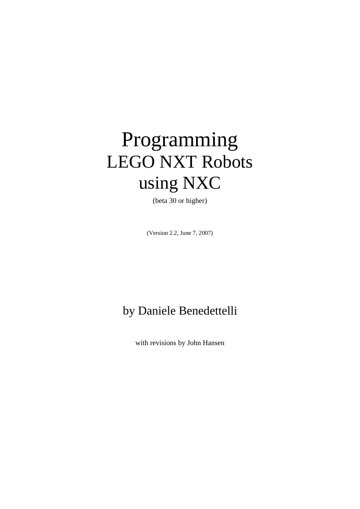# Programming LEGO NXT Robots using NXC

(beta 30 or higher)

(Version 2.2, June 7, 2007)

# by Daniele Benedettelli

with revisions by John Hansen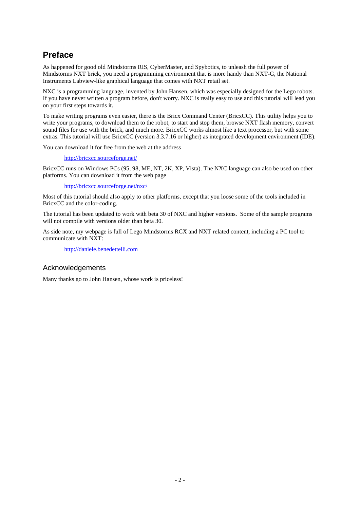# **Preface**

As happened for good old Mindstorms RIS, CyberMaster, and Spybotics, to unleash the full power of Mindstorms NXT brick, you need a programming environment that is more handy than NXT-G, the National Instruments Labview-like graphical language that comes with NXT retail set.

NXC is a programming language, invented by John Hansen, which was especially designed for the Lego robots. If you have never written a program before, don't worry. NXC is really easy to use and this tutorial will lead you on your first steps towards it.

To make writing programs even easier, there is the Bricx Command Center (BricxCC). This utility helps you to write your programs, to download them to the robot, to start and stop them, browse NXT flash memory, convert sound files for use with the brick, and much more. BricxCC works almost like a text processor, but with some extras. This tutorial will use BricxCC (version 3.3.7.16 or higher) as integrated development environment (IDE).

You can download it for free from the web at the address

http://bricxcc.sourceforge.net/

BricxCC runs on Windows PCs (95, 98, ME, NT, 2K, XP, Vista). The NXC language can also be used on other platforms. You can download it from the web page

http://bricxcc.sourceforge.net/nxc/

Most of this tutorial should also apply to other platforms, except that you loose some of the tools included in BricxCC and the color-coding.

The tutorial has been updated to work with beta 30 of NXC and higher versions. Some of the sample programs will not compile with versions older than beta 30.

As side note, my webpage is full of Lego Mindstorms RCX and NXT related content, including a PC tool to communicate with NXT:

http://daniele.benedettelli.com

## Acknowledgements

Many thanks go to John Hansen, whose work is priceless!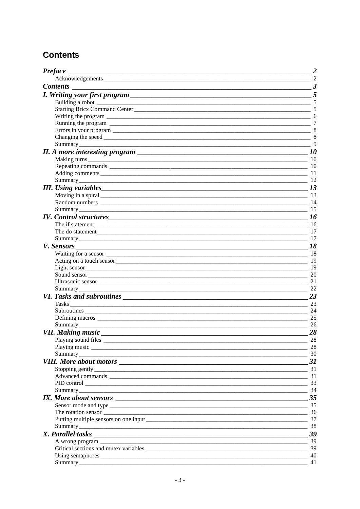# **Contents**

| <b>Preface</b>                                                                                                 |                |
|----------------------------------------------------------------------------------------------------------------|----------------|
|                                                                                                                | $\sim$ 2       |
| <b>Contents</b>                                                                                                | $\frac{3}{2}$  |
|                                                                                                                | 5              |
|                                                                                                                |                |
|                                                                                                                |                |
|                                                                                                                |                |
|                                                                                                                |                |
|                                                                                                                |                |
|                                                                                                                |                |
|                                                                                                                |                |
| II. A more interesting program $\sqrt{10}$ 10                                                                  |                |
|                                                                                                                |                |
|                                                                                                                |                |
|                                                                                                                |                |
| Summary 2012 2013 2014 2015 2016 2017 2018 2019 2016 2017 2018 2019 2019 2014 2015 2016 2017 2018 2016 2017 20 |                |
|                                                                                                                |                |
|                                                                                                                |                |
|                                                                                                                |                |
|                                                                                                                |                |
| <i>IV.</i> Control structures 16                                                                               |                |
|                                                                                                                |                |
|                                                                                                                |                |
|                                                                                                                |                |
|                                                                                                                | $\frac{18}{2}$ |
|                                                                                                                |                |
|                                                                                                                |                |
|                                                                                                                |                |
|                                                                                                                | $\sim$ 20      |
|                                                                                                                | 21             |
|                                                                                                                | 22             |
|                                                                                                                | 23             |
|                                                                                                                | $\frac{1}{23}$ |
|                                                                                                                | $\sim$ 24      |
|                                                                                                                | 25             |
|                                                                                                                | 26             |
|                                                                                                                | 28             |
|                                                                                                                | 28             |
|                                                                                                                | $\sim$ 28      |
|                                                                                                                | $\frac{30}{2}$ |
|                                                                                                                |                |
|                                                                                                                |                |
|                                                                                                                |                |
|                                                                                                                | 33             |
|                                                                                                                |                |
| IX. More about sensors 25                                                                                      |                |
|                                                                                                                |                |
|                                                                                                                |                |
|                                                                                                                |                |
|                                                                                                                |                |
|                                                                                                                |                |
|                                                                                                                |                |
|                                                                                                                |                |
|                                                                                                                | - 40           |
|                                                                                                                |                |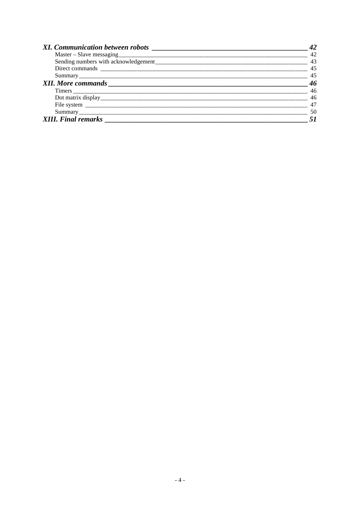|                            | 42 |
|----------------------------|----|
|                            | 42 |
|                            | 43 |
|                            | 45 |
|                            | 45 |
|                            | 46 |
|                            | 46 |
|                            | 46 |
|                            | 47 |
|                            | 50 |
| <b>XIII.</b> Final remarks |    |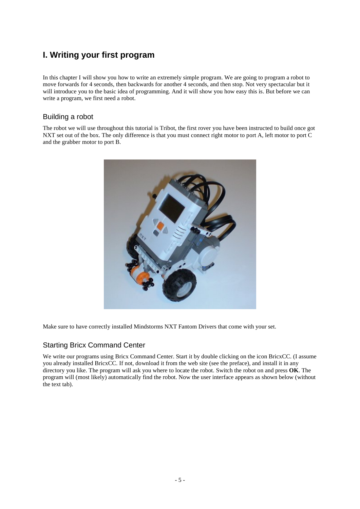# **I. Writing your first program**

In this chapter I will show you how to write an extremely simple program. We are going to program a robot to move forwards for 4 seconds, then backwards for another 4 seconds, and then stop. Not very spectacular but it will introduce you to the basic idea of programming. And it will show you how easy this is. But before we can write a program, we first need a robot.

## Building a robot

The robot we will use throughout this tutorial is Tribot, the first rover you have been instructed to build once got NXT set out of the box. The only difference is that you must connect right motor to port A, left motor to port C and the grabber motor to port B.



Make sure to have correctly installed Mindstorms NXT Fantom Drivers that come with your set.

## Starting Bricx Command Center

We write our programs using Bricx Command Center. Start it by double clicking on the icon BricxCC. (I assume you already installed BricxCC. If not, download it from the web site (see the preface), and install it in any directory you like. The program will ask you where to locate the robot. Switch the robot on and press **OK**. The program will (most likely) automatically find the robot. Now the user interface appears as shown below (without the text tab).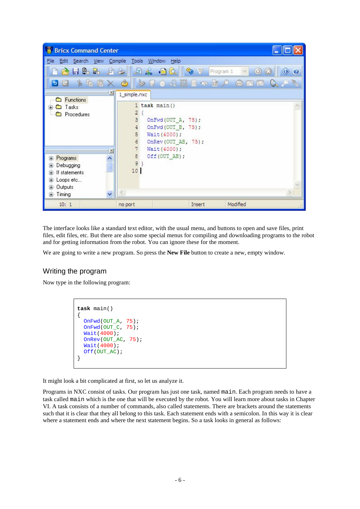| <b>Bricx Command Center</b>                                                                    |                                                                                                                                               |
|------------------------------------------------------------------------------------------------|-----------------------------------------------------------------------------------------------------------------------------------------------|
| File Edit Search View Compile Tools Window Help                                                |                                                                                                                                               |
| <b>POLLER</b> DG                                                                               | 且品 目以<br>Program 1<br>್ಯಾ<br>$\bullet$<br>$\odot$                                                                                             |
| $\mathbb{Z}$<br>4 2<br>G<br>$\mathbf{E}$                                                       | $\begin{array}{c} \circ & \circ \\ \circ & \circ \end{array}$<br>$\bullet$<br>Ф<br>$Q_2$<br>合國盟                                               |
| $\overline{z}$                                                                                 | 1_simple.nxc                                                                                                                                  |
| <b>Functions</b><br>Tasks<br>⊞<br>Procedures<br>$\mathbb{X}$                                   | 1 task main ()<br>2<br>3<br>OnFwd(OUT_A, 75);<br>OnFwd(OUT B, 75);<br>4<br>5<br>Wait (4000);<br>6<br>OnRev (OUT AB, 75);<br>7<br>Wait (4000); |
| Programs<br>E<br>Debugging<br>田<br>If statements<br>Ŧ<br>国 Loops etc<br>国 Outputs<br>国· Timing | 8<br>Off (OUT AB) ;<br>$9$ }<br>10 <sup>°</sup>                                                                                               |
| 10:1                                                                                           | Modified<br>Insert<br>no port                                                                                                                 |

The interface looks like a standard text editor, with the usual menu, and buttons to open and save files, print files, edit files, etc. But there are also some special menus for compiling and downloading programs to the robot and for getting information from the robot. You can ignore these for the moment.

We are going to write a new program. So press the **New File** button to create a new, empty window.

#### Writing the program

Now type in the following program:

```
task main()
{
  OnFwd(OUT_A, 75);
   OnFwd(OUT_C, 75);
   Wait(4000);
   OnRev(OUT_AC, 75);
   Wait(4000);
  Off(OUT_AC);
}
```
It might look a bit complicated at first, so let us analyze it.

Programs in NXC consist of tasks. Our program has just one task, named main. Each program needs to have a task called main which is the one that will be executed by the robot. You will learn more about tasks in Chapter VI. A task consists of a number of commands, also called statements. There are brackets around the statements such that it is clear that they all belong to this task. Each statement ends with a semicolon. In this way it is clear where a statement ends and where the next statement begins. So a task looks in general as follows: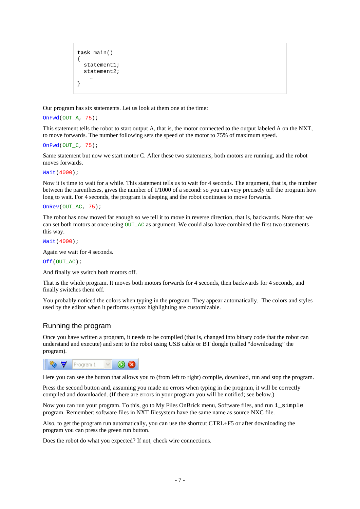```
task main()
{
   statement1;
  statement2;
 …
}
```
Our program has six statements. Let us look at them one at the time:

```
OnFwd(OUT_A, 75);
```
This statement tells the robot to start output A, that is, the motor connected to the output labeled A on the NXT, to move forwards. The number following sets the speed of the motor to 75% of maximum speed.

```
OnFwd(OUT C, 75);
```
Same statement but now we start motor C. After these two statements, both motors are running, and the robot moves forwards.

Wait(4000);

Now it is time to wait for a while. This statement tells us to wait for 4 seconds. The argument, that is, the number between the parentheses, gives the number of 1/1000 of a second: so you can very precisely tell the program how long to wait. For 4 seconds, the program is sleeping and the robot continues to move forwards.

```
OnRev(OUT_AC, 75);
```
The robot has now moved far enough so we tell it to move in reverse direction, that is, backwards. Note that we can set both motors at once using  $OUT_AC$  as argument. We could also have combined the first two statements this way.

Wait(4000);

Again we wait for 4 seconds.

#### Off(OUT\_AC);

And finally we switch both motors off.

That is the whole program. It moves both motors forwards for 4 seconds, then backwards for 4 seconds, and finally switches them off.

You probably noticed the colors when typing in the program. They appear automatically. The colors and styles used by the editor when it performs syntax highlighting are customizable.

#### Running the program

Once you have written a program, it needs to be compiled (that is, changed into binary code that the robot can understand and execute) and sent to the robot using USB cable or BT dongle (called "downloading" the program).



Here you can see the button that allows you to (from left to right) compile, download, run and stop the program.

Press the second button and, assuming you made no errors when typing in the program, it will be correctly compiled and downloaded. (If there are errors in your program you will be notified; see below.)

Now you can run your program. To this, go to My Files OnBrick menu, Software files, and run  $1$  simple program. Remember: software files in NXT filesystem have the same name as source NXC file.

Also, to get the program run automatically, you can use the shortcut CTRL+F5 or after downloading the program you can press the green run button.

Does the robot do what you expected? If not, check wire connections.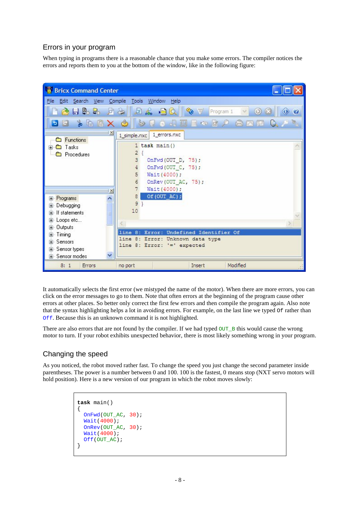# Errors in your program

When typing in programs there is a reasonable chance that you make some errors. The compiler notices the errors and reports them to you at the bottom of the window, like in the following figure:



It automatically selects the first error (we mistyped the name of the motor). When there are more errors, you can click on the error messages to go to them. Note that often errors at the beginning of the program cause other errors at other places. So better only correct the first few errors and then compile the program again. Also note that the syntax highlighting helps a lot in avoiding errors. For example, on the last line we typed Of rather than Off. Because this is an unknown command it is not highlighted.

There are also errors that are not found by the compiler. If we had typed  $\overline{OUT}$  B this would cause the wrong motor to turn. If your robot exhibits unexpected behavior, there is most likely something wrong in your program.

# Changing the speed

As you noticed, the robot moved rather fast. To change the speed you just change the second parameter inside parentheses. The power is a number between 0 and 100. 100 is the fastest, 0 means stop (NXT servo motors will hold position). Here is a new version of our program in which the robot moves slowly:

```
task main()
{
  OnFwd(OUT_AC, 30);
   Wait(4000);
  OnRev(OUT AC, 30);
  Wait(4000);
  Off(OUT_AC);
}
```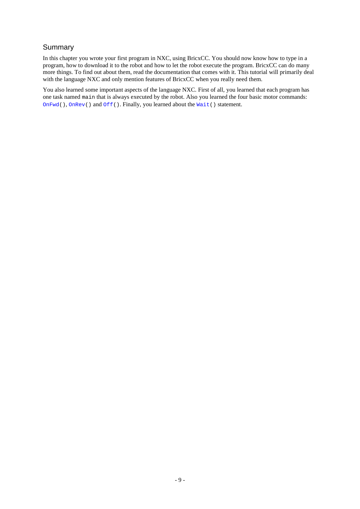# Summary

In this chapter you wrote your first program in NXC, using BricxCC. You should now know how to type in a program, how to download it to the robot and how to let the robot execute the program. BricxCC can do many more things. To find out about them, read the documentation that comes with it. This tutorial will primarily deal with the language NXC and only mention features of BricxCC when you really need them.

You also learned some important aspects of the language NXC. First of all, you learned that each program has one task named main that is always executed by the robot. Also you learned the four basic motor commands: OnFwd(), OnRev() and Off(). Finally, you learned about the Wait() statement.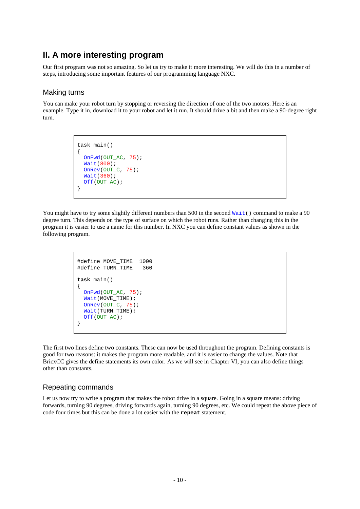# **II. A more interesting program**

Our first program was not so amazing. So let us try to make it more interesting. We will do this in a number of steps, introducing some important features of our programming language NXC.

## Making turns

You can make your robot turn by stopping or reversing the direction of one of the two motors. Here is an example. Type it in, download it to your robot and let it run. It should drive a bit and then make a 90-degree right turn.

```
task main()
{
   OnFwd(OUT_AC, 75);
  Wait(800)\overline{1}OnRev(OUT C, 75);
   Wait(360);
   Off(OUT_AC);
}
```
You might have to try some slightly different numbers than 500 in the second  $\text{Wait}(\cdot)$  command to make a 90 degree turn. This depends on the type of surface on which the robot runs. Rather than changing this in the program it is easier to use a name for this number. In NXC you can define constant values as shown in the following program.

```
%#define MOVE_TIME 1000<br>#define TURN TIME 360
#define TURN_TIME 360
task main()
{
  OnFwd(OUT_AC, 75);
   Wait(MOVE_TIME);
  OnRev(OUT_C, 75);Wait(TURN_TIME);
  Off(OUT_AC);
}
```
The first two lines define two constants. These can now be used throughout the program. Defining constants is good for two reasons: it makes the program more readable, and it is easier to change the values. Note that BricxCC gives the define statements its own color. As we will see in Chapter VI, you can also define things other than constants.

#### Repeating commands

Let us now try to write a program that makes the robot drive in a square. Going in a square means: driving forwards, turning 90 degrees, driving forwards again, turning 90 degrees, etc. We could repeat the above piece of code four times but this can be done a lot easier with the **repeat** statement.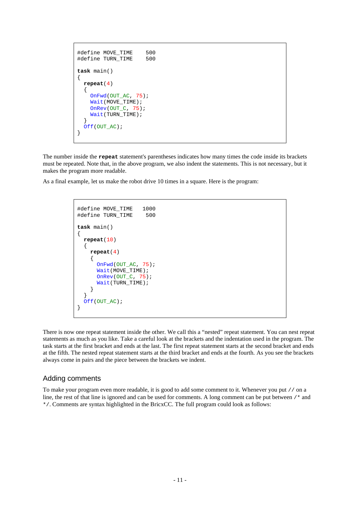```
%#define MOVE_TIME 500<br>#define TURN TIME 500
#define TURN_TIME
task main()
{
   repeat(4)
\{ OnFwd(OUT_AC, 75);
     Wait(MOVE_TIME);
    OnRev(OUT_C, 75);
     Wait(TURN_TIME);
 }
  Off(OUT_AC);
}
```
The number inside the **repeat** statement's parentheses indicates how many times the code inside its brackets must be repeated. Note that, in the above program, we also indent the statements. This is not necessary, but it makes the program more readable.

As a final example, let us make the robot drive 10 times in a square. Here is the program:

```
#define MOVE_TIME 1000<br>#define TURN TIME 500
#define TURN_TIME
task main()
{
   repeat(10)
\{ repeat(4)
\left\{\begin{array}{ccc} \end{array}\right\} OnFwd(OUT_AC, 75);
        Wait(MOVE_TIME);
         OnRev(OUT_C, 75);
         Wait(TURN_TIME);
       }
 }
   Off(OUT_AC);
}
```
There is now one repeat statement inside the other. We call this a "nested" repeat statement. You can nest repeat statements as much as you like. Take a careful look at the brackets and the indentation used in the program. The task starts at the first bracket and ends at the last. The first repeat statement starts at the second bracket and ends at the fifth. The nested repeat statement starts at the third bracket and ends at the fourth. As you see the brackets always come in pairs and the piece between the brackets we indent.

#### Adding comments

To make your program even more readable, it is good to add some comment to it. Whenever you put // on a line, the rest of that line is ignored and can be used for comments. A long comment can be put between /\* and \*/. Comments are syntax highlighted in the BricxCC. The full program could look as follows: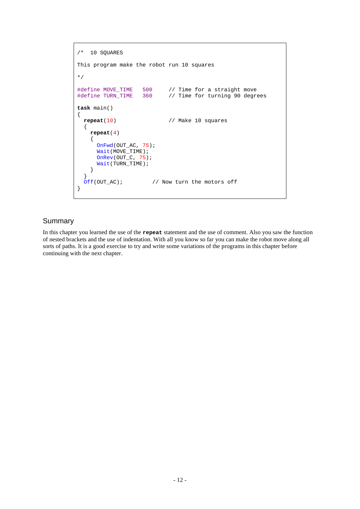```
/* 10 SOUARES
This program make the robot run 10 squares
*/
#define MOVE_TIME 500 // Time for a straight move<br>#define TURN_TIME 360 // Time for turning 90 degre
                                1/ Time for turning 90 degrees
task main()
{
   repeat(10) // Make 10 squares
   {
     repeat(4)
     {
       OnFwd(OUT_AC, 75);
      Wait(MOVE_TIME);
       OnRev(OUT_C, 75);
      Wait(TURN_TIME);
     }
  \int<br>Off(OUT_AC);
                        // Now turn the motors off
}
```
#### Summary

In this chapter you learned the use of the **repeat** statement and the use of comment. Also you saw the function of nested brackets and the use of indentation. With all you know so far you can make the robot move along all sorts of paths. It is a good exercise to try and write some variations of the programs in this chapter before continuing with the next chapter.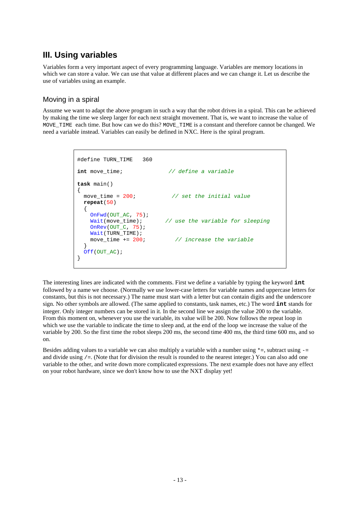# **III. Using variables**

Variables form a very important aspect of every programming language. Variables are memory locations in which we can store a value. We can use that value at different places and we can change it. Let us describe the use of variables using an example.

# Moving in a spiral

Assume we want to adapt the above program in such a way that the robot drives in a spiral. This can be achieved by making the time we sleep larger for each next straight movement. That is, we want to increase the value of MOVE TIME each time. But how can we do this? MOVE TIME is a constant and therefore cannot be changed. We need a variable instead. Variables can easily be defined in NXC. Here is the spiral program.

```
#define TURN_TIME 360
int move_time; // define a variable
task main()
{
   move_time = 200; // set the initial value
   repeat(50)
\{OnFwd(OUT_AC, 75);<br>Wait(move_time);
                               // use the variable for sleeping
     OnRev(OUT_C, 75);
    Wait(TURN_TIME);<br>move time += 200; move_time += 200; // increase the variable
 }
  Off(OUT_AC);
}
```
The interesting lines are indicated with the comments. First we define a variable by typing the keyword **int** followed by a name we choose. (Normally we use lower-case letters for variable names and uppercase letters for constants, but this is not necessary.) The name must start with a letter but can contain digits and the underscore sign. No other symbols are allowed. (The same applied to constants, task names, etc.) The word **int** stands for integer. Only integer numbers can be stored in it. In the second line we assign the value 200 to the variable. From this moment on, whenever you use the variable, its value will be 200. Now follows the repeat loop in which we use the variable to indicate the time to sleep and, at the end of the loop we increase the value of the variable by 200. So the first time the robot sleeps 200 ms, the second time 400 ms, the third time 600 ms, and so on.

Besides adding values to a variable we can also multiply a variable with a number using  $\ast$ =, subtract using  $$ and divide using  $/ =$ . (Note that for division the result is rounded to the nearest integer.) You can also add one variable to the other, and write down more complicated expressions. The next example does not have any effect on your robot hardware, since we don't know how to use the NXT display yet!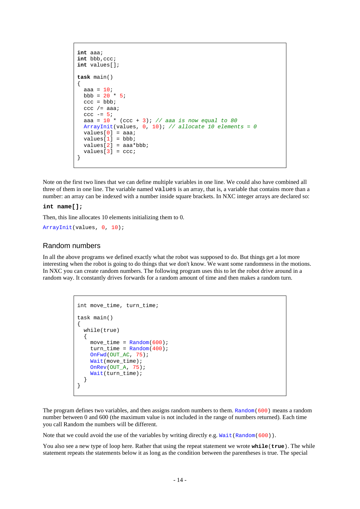```
int aaa;
int bbb,ccc;
int values[];
task main()
{
  aaa = 10ibbb = 20 * 5;
  ccc = bbb;ccc /=\alphaaaa;
  ccc -= 5;
   aaa = 10 * (ccc + 3); // aaa is now equal to 80
  ArrayInit(values, 0, 10); // allocate 10 elements = 0
  values[0] = aaa;values[1] = bbb;values[2] = aaa * bbb;values[3] = ccc;}
```
Note on the first two lines that we can define multiple variables in one line. We could also have combined all three of them in one line. The variable named values is an array, that is, a variable that contains more than a number: an array can be indexed with a number inside square brackets. In NXC integer arrays are declared so:

#### **int name[];**

Then, this line allocates 10 elements initializing them to 0.

ArrayInit(values, 0, 10);

#### Random numbers

In all the above programs we defined exactly what the robot was supposed to do. But things get a lot more interesting when the robot is going to do things that we don't know. We want some randomness in the motions. In NXC you can create random numbers. The following program uses this to let the robot drive around in a random way. It constantly drives forwards for a random amount of time and then makes a random turn.

```
int move_time, turn_time;
task main()
{
  while(true)
   {
    move_time = Random(600);
    turn_time = Random(400); OnFwd(OUT_AC, 75);
     Wait(move_time);
     OnRev(OUT_A, 75);
     Wait(turn_time);
   }
}
```
The program defines two variables, and then assigns random numbers to them. Random(600) means a random number between 0 and 600 (the maximum value is not included in the range of numbers returned). Each time you call Random the numbers will be different.

Note that we could avoid the use of the variables by writing directly e.g. Wait (Random(600)).

You also see a new type of loop here. Rather that using the repeat statement we wrote **while**(**true**). The while statement repeats the statements below it as long as the condition between the parentheses is true. The special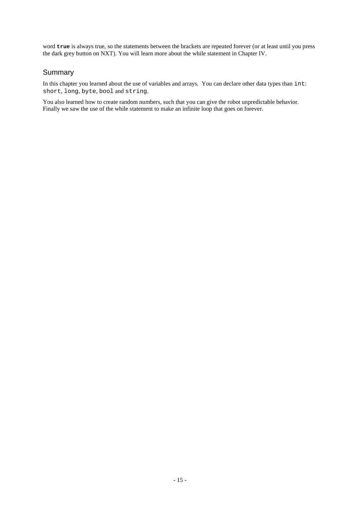word **true** is always true, so the statements between the brackets are repeated forever (or at least until you press the dark grey button on NXT). You will learn more about the while statement in Chapter IV.

# Summary

In this chapter you learned about the use of variables and arrays. You can declare other data types than int: short, long, byte, bool and string.

You also learned how to create random numbers, such that you can give the robot unpredictable behavior. Finally we saw the use of the while statement to make an infinite loop that goes on forever.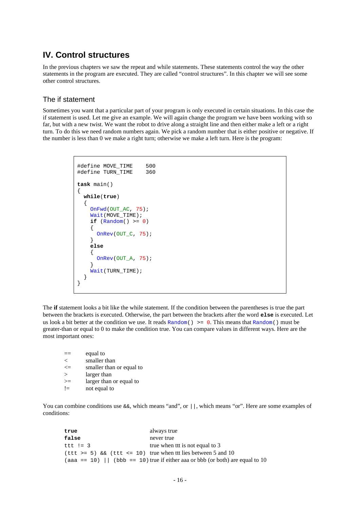# **IV. Control structures**

In the previous chapters we saw the repeat and while statements. These statements control the way the other statements in the program are executed. They are called "control structures". In this chapter we will see some other control structures.

#### The if statement

Sometimes you want that a particular part of your program is only executed in certain situations. In this case the if statement is used. Let me give an example. We will again change the program we have been working with so far, but with a new twist. We want the robot to drive along a straight line and then either make a left or a right turn. To do this we need random numbers again. We pick a random number that is either positive or negative. If the number is less than 0 we make a right turn; otherwise we make a left turn. Here is the program:

```
#define MOVE_TIME 500
#define TURN_TIME 360
task main()
{
  while(true)
   {
     OnFwd(OUT_AC, 75);
     Wait(MOVE_TIME);
    if (\text{Random}() >= 0) {
       OnRev(OUT_C, 75);
     }
     else
 {
      OnRev(OUT A, 75);
 }
    Wait(TURN TIME);
   }
}
```
The **if** statement looks a bit like the while statement. If the condition between the parentheses is true the part between the brackets is executed. Otherwise, the part between the brackets after the word **else** is executed. Let us look a bit better at the condition we use. It reads Random()  $\geq 0$ . This means that Random() must be greater-than or equal to 0 to make the condition true. You can compare values in different ways. Here are the most important ones:

|          | equal to                 |
|----------|--------------------------|
| $\,<\,$  | smaller than             |
| $\leq$   | smaller than or equal to |
| $\rm{>}$ | larger than              |
| >≕       | larger than or equal to  |
| $!=$     | not equal to             |

You can combine conditions use  $\&\&$ , which means "and", or  $||$ , which means "or". Here are some examples of conditions:

| true       | always true                                                                 |
|------------|-----------------------------------------------------------------------------|
| false      | never true                                                                  |
| ttt != $3$ | true when the is not equal to 3                                             |
|            | $(ttt \ge 5)$ & (ttt <= 10) true when the lies between 5 and 10             |
|            | $(aaa == 10)$ (bbb = 10) true if either aa or bbb (or both) are equal to 10 |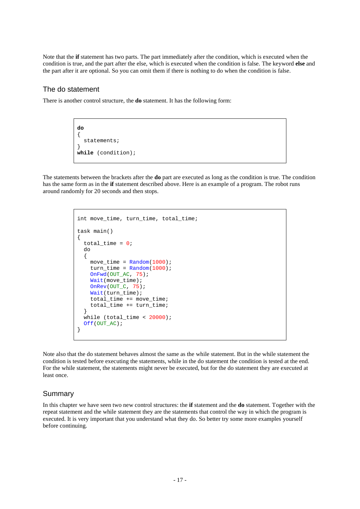Note that the **if** statement has two parts. The part immediately after the condition, which is executed when the condition is true, and the part after the else, which is executed when the condition is false. The keyword **else** and the part after it are optional. So you can omit them if there is nothing to do when the condition is false.

## The do statement

There is another control structure, the **do** statement. It has the following form:

**do** { statements; } **while** (condition);

The statements between the brackets after the **do** part are executed as long as the condition is true. The condition has the same form as in the **if** statement described above. Here is an example of a program. The robot runs around randomly for 20 seconds and then stops.

```
int move_time, turn_time, total_time;
task main()
{
  total_time = 0; do
   {
   move\_time = Random(1000);turn_time = Random(1000); OnFwd(OUT_AC, 75);
     Wait(move_time);
     OnRev(OUT_C, 75);
     Wait(turn_time);
     total_time += move_time;
     total_time += turn_time;
 }
   while (total_time < 20000);
   Off(OUT_AC);
}
```
Note also that the do statement behaves almost the same as the while statement. But in the while statement the condition is tested before executing the statements, while in the do statement the condition is tested at the end. For the while statement, the statements might never be executed, but for the do statement they are executed at least once.

## Summary

In this chapter we have seen two new control structures: the **if** statement and the **do** statement. Together with the repeat statement and the while statement they are the statements that control the way in which the program is executed. It is very important that you understand what they do. So better try some more examples yourself before continuing.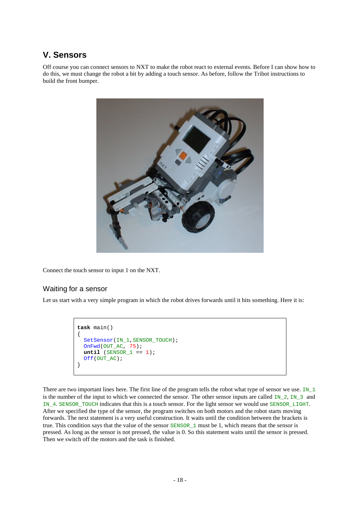# **V. Sensors**

Off course you can connect sensors to NXT to make the robot react to external events. Before I can show how to do this, we must change the robot a bit by adding a touch sensor. As before, follow the Tribot instructions to build the front bumper.



Connect the touch sensor to input 1 on the NXT.

#### Waiting for a sensor

Let us start with a very simple program in which the robot drives forwards until it hits something. Here it is:

```
task main()
{
  SetSensor(IN_1,SENSOR_TOUCH);
 OnFwd(OUT_AC, 75);
 until (SENSOR_1 == 1);
  Off(OUT_AC);
}
```
There are two important lines here. The first line of the program tells the robot what type of sensor we use. IN\_1 is the number of the input to which we connected the sensor. The other sensor inputs are called  $\text{IN}_2$ ,  $\text{IN}_3$  and IN\_4. SENSOR\_TOUCH indicates that this is a touch sensor. For the light sensor we would use SENSOR\_LIGHT. After we specified the type of the sensor, the program switches on both motors and the robot starts moving forwards. The next statement is a very useful construction. It waits until the condition between the brackets is true. This condition says that the value of the sensor SENSOR\_1 must be 1, which means that the sensor is pressed. As long as the sensor is not pressed, the value is 0. So this statement waits until the sensor is pressed. Then we switch off the motors and the task is finished.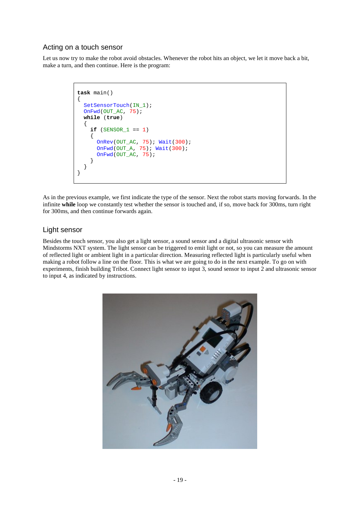## Acting on a touch sensor

Let us now try to make the robot avoid obstacles. Whenever the robot hits an object, we let it move back a bit, make a turn, and then continue. Here is the program:

```
task main()
{
  SetSensorTouch(IN_1);
   OnFwd(OUT_AC, 75);
  while (true)
   {
    if (SENSOR 1 == 1) {
       OnRev(OUT_AC, 75); Wait(300);
       OnFwd(OUT_A, 75); Wait(300);
       OnFwd(OUT_AC, 75);
 }
   }
}
```
As in the previous example, we first indicate the type of the sensor. Next the robot starts moving forwards. In the infinite **while** loop we constantly test whether the sensor is touched and, if so, move back for 300ms, turn right for 300ms, and then continue forwards again.

## Light sensor

Besides the touch sensor, you also get a light sensor, a sound sensor and a digital ultrasonic sensor with Mindstorms NXT system. The light sensor can be triggered to emit light or not, so you can measure the amount of reflected light or ambient light in a particular direction. Measuring reflected light is particularly useful when making a robot follow a line on the floor. This is what we are going to do in the next example. To go on with experiments, finish building Tribot. Connect light sensor to input 3, sound sensor to input 2 and ultrasonic sensor to input 4, as indicated by instructions.

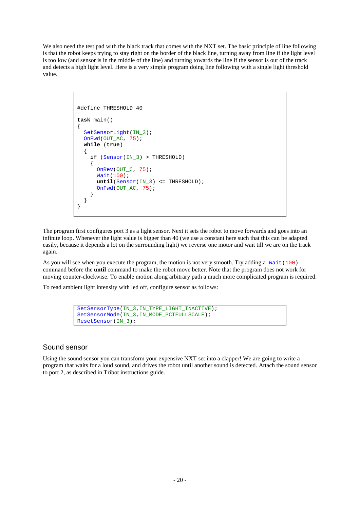We also need the test pad with the black track that comes with the NXT set. The basic principle of line following is that the robot keeps trying to stay right on the border of the black line, turning away from line if the light level is too low (and sensor is in the middle of the line) and turning towards the line if the sensor is out of the track and detects a high light level. Here is a very simple program doing line following with a single light threshold value.

```
#define THRESHOLD 40
task main()
{
  SetSensorLight(IN 3);
   OnFwd(OUT_AC, 75);
  while (true)
   {
    if (Sensor(IN 3) > THRESHOLD)
     {
      OnRev(OUT C, 75);
       Wait(100);
       until(Sensor(IN_3) <= THRESHOLD);
       OnFwd(OUT_AC, 75);
 } 
   }
}
```
The program first configures port 3 as a light sensor. Next it sets the robot to move forwards and goes into an infinite loop. Whenever the light value is bigger than 40 (we use a constant here such that this can be adapted easily, because it depends a lot on the surrounding light) we reverse one motor and wait till we are on the track again.

As you will see when you execute the program, the motion is not very smooth. Try adding a  $Wait(100)$ command before the **until** command to make the robot move better. Note that the program does not work for moving counter-clockwise. To enable motion along arbitrary path a much more complicated program is required.

To read ambient light intensity with led off, configure sensor as follows:

```
SetSensorType(IN_3,IN_TYPE_LIGHT_INACTIVE);
SetSensorMode(IN_3,IN_MODE_PCTFULLSCALE);
ResetSensor(IN_3);
```
#### Sound sensor

Using the sound sensor you can transform your expensive NXT set into a clapper! We are going to write a program that waits for a loud sound, and drives the robot until another sound is detected. Attach the sound sensor to port 2, as described in Tribot instructions guide.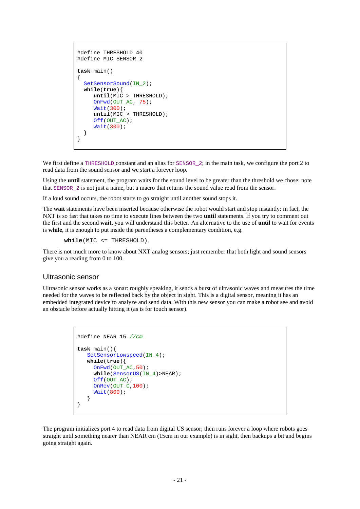```
#define THRESHOLD 40
#define MIC SENSOR_2
task main()
{
  SetSensorSound(IN_2);
   while(true){
      until(MIC > THRESHOLD); 
      OnFwd(OUT_AC, 75);
      Wait(300);
      until(MIC > THRESHOLD);
      Off(OUT_AC);
      Wait(300);
   }
}
```
We first define a THRESHOLD constant and an alias for SENSOR<sub>2</sub>; in the main task, we configure the port 2 to read data from the sound sensor and we start a forever loop.

Using the **until** statement, the program waits for the sound level to be greater than the threshold we chose: note that SENSOR\_2 is not just a name, but a macro that returns the sound value read from the sensor.

If a loud sound occurs, the robot starts to go straight until another sound stops it.

The **wait** statements have been inserted because otherwise the robot would start and stop instantly: in fact, the NXT is so fast that takes no time to execute lines between the two **until** statements. If you try to comment out the first and the second **wait**, you will understand this better. An alternative to the use of **until** to wait for events is **while**, it is enough to put inside the parentheses a complementary condition, e.g.

**while**(MIC <= THRESHOLD).

There is not much more to know about NXT analog sensors; just remember that both light and sound sensors give you a reading from 0 to 100.

#### Ultrasonic sensor

Ultrasonic sensor works as a sonar: roughly speaking, it sends a burst of ultrasonic waves and measures the time needed for the waves to be reflected back by the object in sight. This is a digital sensor, meaning it has an embedded integrated device to analyze and send data. With this new sensor you can make a robot see and avoid an obstacle before actually hitting it (as is for touch sensor).

```
#define NEAR 15 //cm
task main(){
   SetSensorLowspeed(IN_4);
    while(true){
      OnFwd(OUT_AC,50);
      while(SensorUS(IN_4)>NEAR);
     Off(OUT_AC);
     OnRev(OUT_C,100);
      Wait(800);
    }
}
```
The program initializes port 4 to read data from digital US sensor; then runs forever a loop where robots goes straight until something nearer than NEAR cm (15cm in our example) is in sight, then backups a bit and begins going straight again.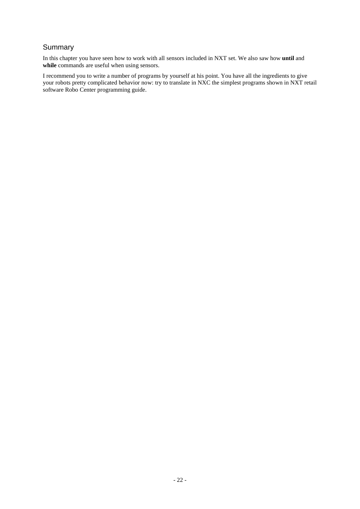# **Summary**

In this chapter you have seen how to work with all sensors included in NXT set. We also saw how **until** and while commands are useful when using sensors.

I recommend you to write a number of programs by yourself at his point. You have all the ingredients to give your robots pretty complicated behavior now: try to translate in NXC the simplest programs shown in NXT retail software Robo Center programming guide.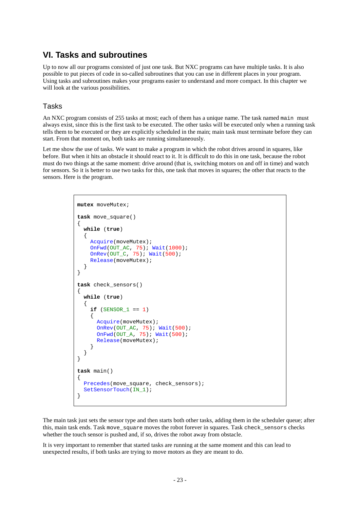# **VI. Tasks and subroutines**

Up to now all our programs consisted of just one task. But NXC programs can have multiple tasks. It is also possible to put pieces of code in so-called subroutines that you can use in different places in your program. Using tasks and subroutines makes your programs easier to understand and more compact. In this chapter we will look at the various possibilities.

## Tasks

An NXC program consists of 255 tasks at most; each of them has a unique name. The task named main must always exist, since this is the first task to be executed. The other tasks will be executed only when a running task tells them to be executed or they are explicitly scheduled in the main; main task must terminate before they can start. From that moment on, both tasks are running simultaneously.

Let me show the use of tasks. We want to make a program in which the robot drives around in squares, like before. But when it hits an obstacle it should react to it. It is difficult to do this in one task, because the robot must do two things at the same moment: drive around (that is, switching motors on and off in time) and watch for sensors. So it is better to use two tasks for this, one task that moves in squares; the other that reacts to the sensors. Here is the program.

```
mutex moveMutex;
task move_square()
{
   while (true)
   {
     Acquire(moveMutex);
 OnFwd(OUT_AC, 75); Wait(1000);
 OnRev(OUT_C, 75); Wait(500);
     Release(moveMutex);
   }
}
task check_sensors()
{
   while (true)
   {
    if (SENSOR_1 == 1)\left\{\begin{array}{ccc} \end{array}\right\} Acquire(moveMutex);
        OnRev(OUT_AC, 75); Wait(500);
        OnFwd(OUT_A, 75); Wait(500);
        Release(moveMutex);
 }
   }
}
task main()
{
   Precedes(move_square, check_sensors);
  SetSensorTouch(IN_1);
}
```
The main task just sets the sensor type and then starts both other tasks, adding them in the scheduler queue; after this, main task ends. Task move square moves the robot forever in squares. Task check sensors checks whether the touch sensor is pushed and, if so, drives the robot away from obstacle.

It is very important to remember that started tasks are running at the same moment and this can lead to unexpected results, if both tasks are trying to move motors as they are meant to do.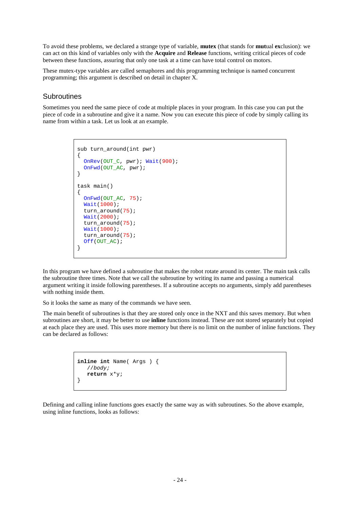To avoid these problems, we declared a strange type of variable, **mutex** (that stands for **mut**ual **ex**clusion): we can act on this kind of variables only with the **Acquire** and **Release** functions, writing critical pieces of code between these functions, assuring that only one task at a time can have total control on motors.

These mutex-type variables are called semaphores and this programming technique is named concurrent programming; this argument is described on detail in chapter X.

#### **Subroutines**

Sometimes you need the same piece of code at multiple places in your program. In this case you can put the piece of code in a subroutine and give it a name. Now you can execute this piece of code by simply calling its name from within a task. Let us look at an example.

```
sub turn_around(int pwr)
{
  OnRev(OUT_C, pwr); Wait(900);
   OnFwd(OUT_AC, pwr);
}
task main()
{
  OnFwd(OUT_AC, 75);
  Wait(1000);
  turn_around(75);
  Wait(2000);
 turn_around(75);
  Wait(1000);
   turn_around(75);
  Off(OUT_AC);
}
```
In this program we have defined a subroutine that makes the robot rotate around its center. The main task calls the subroutine three times. Note that we call the subroutine by writing its name and passing a numerical argument writing it inside following parentheses. If a subroutine accepts no arguments, simply add parentheses with nothing inside them.

So it looks the same as many of the commands we have seen.

The main benefit of subroutines is that they are stored only once in the NXT and this saves memory. But when subroutines are short, it may be better to use **inline** functions instead. These are not stored separately but copied at each place they are used. This uses more memory but there is no limit on the number of inline functions. They can be declared as follows:

```
inline int Name( Args ) { 
    //body;
    return x*y;
}
```
Defining and calling inline functions goes exactly the same way as with subroutines. So the above example, using inline functions, looks as follows: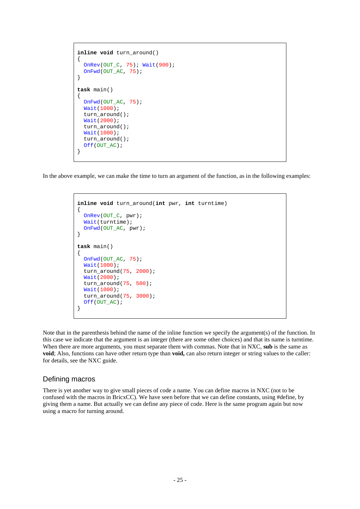```
inline void turn_around()
{
   OnRev(OUT_C, 75); Wait(900);
  OnFwd(OUT AC, 75);
}
task main()
{
   OnFwd(OUT_AC, 75);
   Wait(1000);
   turn_around();
   Wait(2000);
   turn_around();
   Wait(1000);
   turn_around();
  Off(OUT_AC);
}
```
In the above example, we can make the time to turn an argument of the function, as in the following examples:

```
inline void turn_around(int pwr, int turntime)
{
   OnRev(OUT_C, pwr);
   Wait(turntime);
   OnFwd(OUT_AC, pwr);
}
task main()
{
   OnFwd(OUT_AC, 75);
   Wait(1000);
   turn_around(75, 2000);
   Wait(2000);
  turn_around(75, 500);
   Wait(1000);
   turn_around(75, 3000);
  Off(OUT AC);
}
```
Note that in the parenthesis behind the name of the inline function we specify the argument(s) of the function. In this case we indicate that the argument is an integer (there are some other choices) and that its name is turntime. When there are more arguments, you must separate them with commas. Note that in NXC, **sub** is the same as **void**; Also, functions can have other return type than **void,** can also return integer or string values to the caller: for details, see the NXC guide.

#### Defining macros

There is yet another way to give small pieces of code a name. You can define macros in NXC (not to be confused with the macros in BricxCC). We have seen before that we can define constants, using #define, by giving them a name. But actually we can define any piece of code. Here is the same program again but now using a macro for turning around.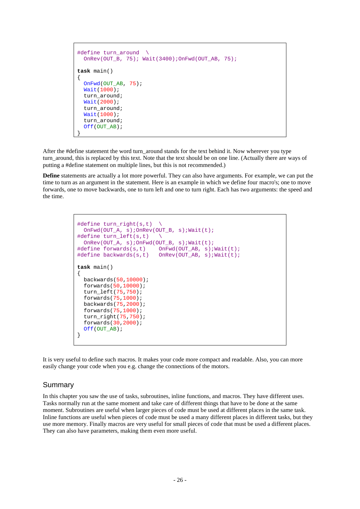```
#define turn around \
   OnRev(OUT_B, 75); Wait(3400);OnFwd(OUT_AB, 75);
task main()
\left\{ \right.OnFwd(OUT AB, 75);
   Wait(1000);
   turn_around;
   Wait(2000);
   turn_around;
   Wait(1000);
  turn around;
   Off(OUT_AB);
}
```
After the #define statement the word turn around stands for the text behind it. Now wherever you type turn around, this is replaced by this text. Note that the text should be on one line. (Actually there are ways of putting a #define statement on multiple lines, but this is not recommended.)

**Define** statements are actually a lot more powerful. They can also have arguments. For example, we can put the time to turn as an argument in the statement. Here is an example in which we define four macro's; one to move forwards, one to move backwards, one to turn left and one to turn right. Each has two arguments: the speed and the time.

```
#define turn right(s,t)
  OnFwd(OUT_A, s);OnRev(OUT_B, s);Wait(t);
#define turn_left(s,t) \
 OnRev(OUT A, s);OnFwd(OUT B, s);Wait(t);
#define forwards(s,t) OnFwd(OUT_AB, s);Wait(t);
                        OnRev(OUT_AB, s):Wait(t);task main()
{
  backwards(50,10000);
   forwards(50,10000);
   turn_left(75,750);
   forwards(75,1000);
  backwards(75,2000);
   forwards(75,1000);
   turn_right(75,750);
   forwards(30,2000);
   Off(OUT_AB);
}
```
It is very useful to define such macros. It makes your code more compact and readable. Also, you can more easily change your code when you e.g. change the connections of the motors.

#### Summary

In this chapter you saw the use of tasks, subroutines, inline functions, and macros. They have different uses. Tasks normally run at the same moment and take care of different things that have to be done at the same moment. Subroutines are useful when larger pieces of code must be used at different places in the same task. Inline functions are useful when pieces of code must be used a many different places in different tasks, but they use more memory. Finally macros are very useful for small pieces of code that must be used a different places. They can also have parameters, making them even more useful.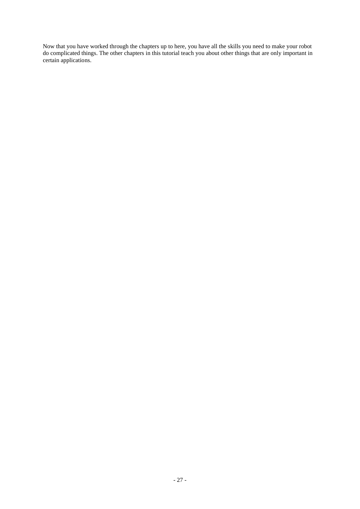Now that you have worked through the chapters up to here, you have all the skills you need to make your robot do complicated things. The other chapters in this tutorial teach you about other things that are only important in certain applications.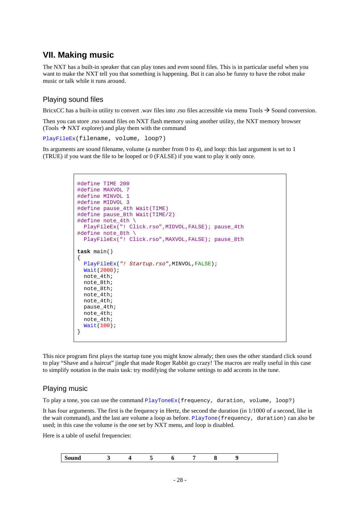# **VII. Making music**

The NXT has a built-in speaker that can play tones and even sound files. This is in particular useful when you want to make the NXT tell you that something is happening. But it can also be funny to have the robot make music or talk while it runs around.

## Playing sound files

BricxCC has a built-in utility to convert .wav files into .rso files accessible via menu Tools  $\rightarrow$  Sound conversion.

Then you can store .rso sound files on NXT flash memory using another utility, the NXT memory browser (Tools  $\rightarrow$  NXT explorer) and play them with the command

PlayFileEx(filename, volume, loop?)

Its arguments are sound filename, volume (a number from 0 to 4), and loop: this last argument is set to 1 (TRUE) if you want the file to be looped or 0 (FALSE) if you want to play it only once.

```
#define TIME 200
#define MAXVOL 7
#define MINVOL 1
#define MIDVOL 3
#define pause_4th Wait(TIME)
#define pause_8th Wait(TIME/2)
#define note 4th \
   PlayFileEx("! Click.rso",MIDVOL,FALSE); pause_4th
#define note_8th \
   PlayFileEx("! Click.rso",MAXVOL,FALSE); pause_8th
task main()
{
  PlayFileEx("! Startup.rso",MINVOL,FALSE);
  Wait(2000);
  note_4th;
  note_8th;
  note_8th;
  note_4th;
  note_4th;
  pause_4th;
  note_4th;
  note_4th;
   Wait(100);
}
```
This nice program first plays the startup tune you might know already; then uses the other standard click sound to play "Shave and a haircut" jingle that made Roger Rabbit go crazy! The macros are really useful in this case to simplify notation in the main task: try modifying the volume settings to add accents in the tune.

#### Playing music

To play a tone, you can use the command PlayToneEx(frequency, duration, volume, loop?)

It has four arguments. The first is the frequency in Hertz, the second the duration (in 1/1000 of a second, like in the wait command), and the last are volume a loop as before. PlayTone(frequency, duration) can also be used; in this case the volume is the one set by NXT menu, and loop is disabled.

Here is a table of useful frequencies:

| Sound |  |
|-------|--|
|-------|--|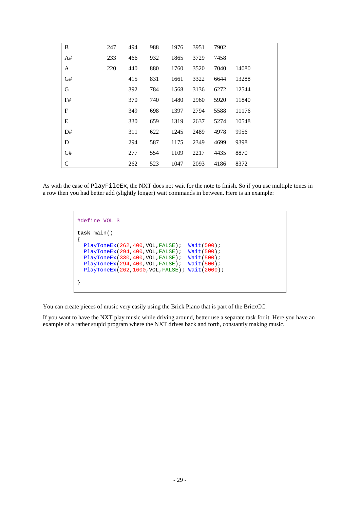| B            | 247 | 494 | 988 | 1976 | 3951 | 7902 |       |
|--------------|-----|-----|-----|------|------|------|-------|
| A#           | 233 | 466 | 932 | 1865 | 3729 | 7458 |       |
| A            | 220 | 440 | 880 | 1760 | 3520 | 7040 | 14080 |
| G#           |     | 415 | 831 | 1661 | 3322 | 6644 | 13288 |
| G            |     | 392 | 784 | 1568 | 3136 | 6272 | 12544 |
| F#           |     | 370 | 740 | 1480 | 2960 | 5920 | 11840 |
| $\mathbf F$  |     | 349 | 698 | 1397 | 2794 | 5588 | 11176 |
| E            |     | 330 | 659 | 1319 | 2637 | 5274 | 10548 |
| D#           |     | 311 | 622 | 1245 | 2489 | 4978 | 9956  |
| D            |     | 294 | 587 | 1175 | 2349 | 4699 | 9398  |
| C#           |     | 277 | 554 | 1109 | 2217 | 4435 | 8870  |
| $\mathsf{C}$ |     | 262 | 523 | 1047 | 2093 | 4186 | 8372  |

As with the case of PlayFileEx, the NXT does not wait for the note to finish. So if you use multiple tones in a row then you had better add (slightly longer) wait commands in between. Here is an example:

```
#define VOL 3
task main()
{
 PlayToneEx(262,400,VOL,FALSE); Wait(500);
 PlayToneEx(294,400,VOL,FALSE); Wait(500);
 PlayToneEx(330,400,VOL,FALSE); Wait(500);
 PlayToneEx(294,400,VOL,FALSE); Wait(500);
  PlayToneEx(262,1600,VOL,FALSE); Wait(2000);
}
```
You can create pieces of music very easily using the Brick Piano that is part of the BricxCC.

If you want to have the NXT play music while driving around, better use a separate task for it. Here you have an example of a rather stupid program where the NXT drives back and forth, constantly making music.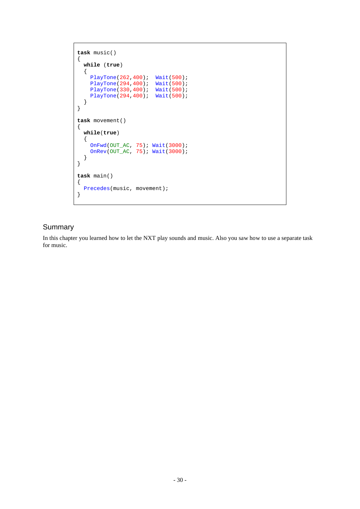```
task music()
{
  while (true)
   {
 PlayTone(262,400); Wait(500);
 PlayTone(294,400); Wait(500);
 PlayTone(330,400); Wait(500);
 PlayTone(294,400); Wait(500);
  }
}
task movement()
{
  while(true)
   {
 OnFwd(OUT_AC, 75); Wait(3000);
 OnRev(OUT_AC, 75); Wait(3000);
   }
}
task main()
{
  Precedes(music, movement);
}
```
# **Summary**

In this chapter you learned how to let the NXT play sounds and music. Also you saw how to use a separate task for music.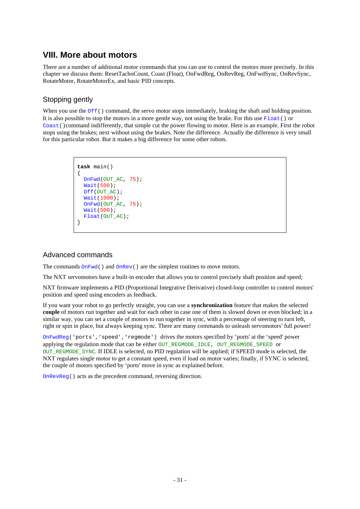# **VIII. More about motors**

There are a number of additional motor commands that you can use to control the motors more precisely. In this chapter we discuss them: ResetTachoCount, Coast (Float), OnFwdReg, OnRevReg, OnFwdSync, OnRevSync, RotateMotor, RotateMotorEx, and basic PID concepts.

# Stopping gently

When you use the  $\circ$ f $f($ ) command, the servo motor stops immediately, braking the shaft and holding position. It is also possible to stop the motors in a more gentle way, not using the brake. For this use  $F$ loat() or Coast()command indifferently, that simple cut the power flowing to motor. Here is an example. First the robot stops using the brakes; next without using the brakes. Note the difference. Actually the difference is very small for this particular robot. But it makes a big difference for some other robots.

```
task main()
{
   OnFwd(OUT_AC, 75);
   Wait(500);
  Off(OUT_AC);
   Wait(1000);
  OnFwd(OUT AC, 75);
   Wait(500);
  Float(OUT AC);
}
```
## Advanced commands

The commands  $OnFwd()$  and  $OnRev()$  are the simplest routines to move motors.

The NXT servomotors have a built-in encoder that allows you to control precisely shaft position and speed;

NXT firmware implements a PID (Proportional Integrative Derivative) closed-loop controller to control motors' position and speed using encoders as feedback.

If you want your robot to go perfectly straight, you can use a **synchronization** feature that makes the selected **couple** of motors run together and wait for each other in case one of them is slowed down or even blocked; in a similar way, you can set a couple of motors to run together in sync, with a percentage of steering to turn left, right or spin in place, but always keeping sync. There are many commands to unleash servomotors' full power!

OnFwdReg('ports','speed','regmode') drives the motors specified by 'ports' at the 'speed' power applying the regulation mode that can be either OUT\_REGMODE\_IDLE, OUT\_REGMODE\_SPEED or OUT\_REGMODE\_SYNC. If IDLE is selected, no PID regulation will be applied; if SPEED mode is selected, the NXT regulates single motor to get a constant speed, even if load on motor varies; finally, if SYNC is selected, the couple of motors specified by 'ports' move in sync as explained before.

OnRevReg() acts as the precedent command, reversing direction.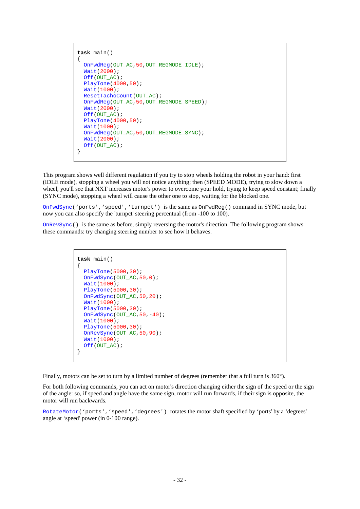```
task main()
{
   OnFwdReg(OUT_AC,50,OUT_REGMODE_IDLE);
   Wait(2000);
  Off(OUT_AC);
  PlayTone(4000,50);
   Wait(1000);
 ResetTachoCount(OUT_AC);
   OnFwdReg(OUT_AC,50,OUT_REGMODE_SPEED);
   Wait(2000);
 Off(OUT AC);
  PlayTone(4000,50);
  Wait(1000);
   OnFwdReg(OUT_AC,50,OUT_REGMODE_SYNC);
   Wait(2000);
  Off(OUT_AC);
}
```
This program shows well different regulation if you try to stop wheels holding the robot in your hand: first (IDLE mode), stopping a wheel you will not notice anything; then (SPEED MODE), trying to slow down a wheel, you'll see that NXT increases motor's power to overcome your hold, trying to keep speed constant; finally (SYNC mode), stopping a wheel will cause the other one to stop, waiting for the blocked one.

OnFwdSync('ports','speed','turnpct') is the same as OnFwdReg() command in SYNC mode, but now you can also specify the 'turnpct' steering percentual (from -100 to 100).

OnRevSync() is the same as before, simply reversing the motor's direction. The following program shows these commands: try changing steering number to see how it behaves.

```
task main()
{
   PlayTone(5000,30);
   OnFwdSync(OUT_AC,50,0);
   Wait(1000);
   PlayTone(5000,30);
   OnFwdSync(OUT_AC,50,20);
   Wait(1000);
   PlayTone(5000,30);
  OnFwdSync(OUT_AC,50,-40);
  Wait(1000);
  PlayTone(5000,30);
   OnRevSync(OUT_AC,50,90);
   Wait(1000);
  Off(OUT_AC);
}
```
Finally, motors can be set to turn by a limited number of degrees (remember that a full turn is 360°).

For both following commands, you can act on motor's direction changing either the sign of the speed or the sign of the angle: so, if speed and angle have the same sign, motor will run forwards, if their sign is opposite, the motor will run backwards.

RotateMotor('ports','speed','degrees') rotates the motor shaft specified by 'ports' by a 'degrees' angle at 'speed' power (in 0-100 range).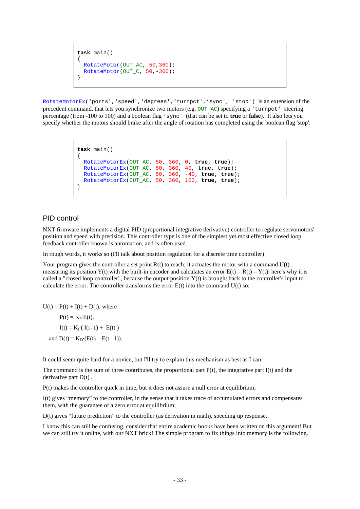```
task main()
{
 RotateMotor(OUT AC, 50,360);
 RotateMotor(OUT C, 50,-360);
}
```
RotateMotorEx('ports','speed','degrees','turnpct','sync', 'stop') is an extension of the precedent command, that lets you synchronize two motors (e.g. OUT\_AC) specifying a 'turnpct' steering percentage (from -100 to 100) and a boolean flag 'sync' (that can be set to **true** or **false**). It also lets you specify whether the motors should brake after the angle of rotation has completed using the boolean flag 'stop'.

```
task main()
{
  RotateMotorEx(OUT_AC, 50, 360, 0, true, true);
  RotateMotorEx(OUT_AC, 50, 360, 40, true, true);
  RotateMotorEx(OUT_AC, 50, 360, -40, true, true);
  RotateMotorEx(OUT_AC, 50, 360, 100, true, true);
}
```
#### PID control

NXT firmware implements a digital PID (proportional integrative derivative) controller to regulate servomotors' position and speed with precision. This controller type is one of the simplest yet most effective closed loop feedback controller known is automation, and is often used.

In rough words, it works so (I'll talk about position regulation for a discrete time controller):

Your program gives the controller a set point  $R(t)$  to reach; it actuates the motor with a command  $U(t)$ . measuring its position Y(t) with the built-in encoder and calculates an error  $E(t) = R(t) - Y(t)$ : here's why it is called a "closed loop controller", because the output position  $Y(t)$  is brought back to the controller's input to calculate the error. The controller transforms the error  $E(t)$  into the command  $U(t)$  so:

 $U(t) = P(t) + I(t) + D(t)$ , where

 $P(t) = K_P \cdot E(t)$ ,  $I(t) = K_1 \cdot (I(t-1) + E(t))$ and  $D(t) = K_D(E(t) - E(t-1)).$ 

It could seem quite hard for a novice, but I'll try to explain this mechanism as best as I can.

The command is the sum of three contributes, the proportional part  $P(t)$ , the integrative part  $I(t)$  and the derivative part  $D(t)$ .

P(t) makes the controller quick in time, but it does not assure a null error at equilibrium;

I(t) gives "memory" to the controller, in the sense that it takes trace of accumulated errors and compensates them, with the guarantee of a zero error at equilibrium;

D(t) gives "future prediction" to the controller (as derivation in math), speeding up response.

I know this can still be confusing, consider that entire academic books have been written on this argument! But we can still try it online, with our NXT brick! The simple program to fix things into memory is the following.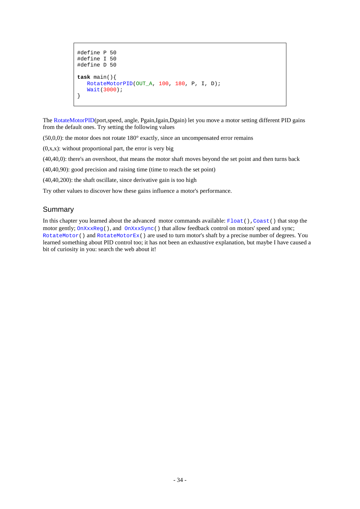```
#define P 50
#define I 50
#define D 50
task main(){
   RotateMotorPID(OUT A, 100, 180, P, I, D);
    Wait(3000);
}
```
The RotateMotorPID(port,speed, angle, Pgain,Igain,Dgain) let you move a motor setting different PID gains from the default ones. Try setting the following values

 $(50,0,0)$ : the motor does not rotate  $180^\circ$  exactly, since an uncompensated error remains

 $(0, x, x)$ : without proportional part, the error is very big

(40,40,0): there's an overshoot, that means the motor shaft moves beyond the set point and then turns back

(40,40,90): good precision and raising time (time to reach the set point)

(40,40,200): the shaft oscillate, since derivative gain is too high

Try other values to discover how these gains influence a motor's performance.

#### **Summary**

In this chapter you learned about the advanced motor commands available: Float(), Coast() that stop the motor gently;  $OnXxxReg()$ , and  $OnXxxSync()$  that allow feedback control on motors' speed and sync; RotateMotor() and RotateMotorEx() are used to turn motor's shaft by a precise number of degrees. You learned something about PID control too; it has not been an exhaustive explanation, but maybe I have caused a bit of curiosity in you: search the web about it!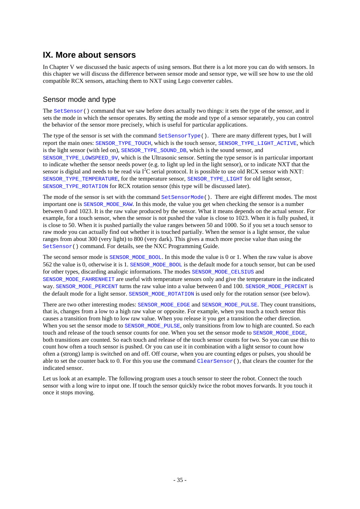# **IX. More about sensors**

In Chapter V we discussed the basic aspects of using sensors. But there is a lot more you can do with sensors. In this chapter we will discuss the difference between sensor mode and sensor type, we will see how to use the old compatible RCX sensors, attaching them to NXT using Lego converter cables.

# Sensor mode and type

The SetSensor() command that we saw before does actually two things: it sets the type of the sensor, and it sets the mode in which the sensor operates. By setting the mode and type of a sensor separately, you can control the behavior of the sensor more precisely, which is useful for particular applications.

The type of the sensor is set with the command SetSensorType(). There are many different types, but I will report the main ones: SENSOR\_TYPE\_TOUCH, which is the touch sensor, SENSOR\_TYPE\_LIGHT\_ACTIVE, which is the light sensor (with led on), SENSOR\_TYPE\_SOUND\_DB, which is the sound sensor, and SENSOR\_TYPE\_LOWSPEED\_9V, which is the Ultrasonic sensor. Setting the type sensor is in particular important to indicate whether the sensor needs power (e.g. to light up led in the light sensor), or to indicate NXT that the sensor is digital and needs to be read via  $I^2C$  serial protocol. It is possible to use old RCX sensor with NXT: SENSOR\_TYPE\_TEMPERATURE, for the temperature sensor, SENSOR\_TYPE\_LIGHT for old light sensor, SENSOR\_TYPE\_ROTATION for RCX rotation sensor (this type will be discussed later).

The mode of the sensor is set with the command SetSensorMode(). There are eight different modes. The most important one is SENSOR\_MODE\_RAW. In this mode, the value you get when checking the sensor is a number between 0 and 1023. It is the raw value produced by the sensor. What it means depends on the actual sensor. For example, for a touch sensor, when the sensor is not pushed the value is close to 1023. When it is fully pushed, it is close to 50. When it is pushed partially the value ranges between 50 and 1000. So if you set a touch sensor to raw mode you can actually find out whether it is touched partially. When the sensor is a light sensor, the value ranges from about 300 (very light) to 800 (very dark). This gives a much more precise value than using the SetSensor() command. For details, see the NXC Programming Guide.

The second sensor mode is SENSOR\_MODE\_BOOL. In this mode the value is 0 or 1. When the raw value is above 562 the value is 0, otherwise it is 1. SENSOR\_MODE\_BOOL is the default mode for a touch sensor, but can be used for other types, discarding analogic informations. The modes SENSOR\_MODE\_CELSIUS and SENSOR\_MODE\_FAHRENHEIT are useful with temperature sensors only and give the temperature in the indicated way. SENSOR\_MODE\_PERCENT turns the raw value into a value between 0 and 100. SENSOR\_MODE\_PERCENT is the default mode for a light sensor. SENSOR\_MODE\_ROTATION is used only for the rotation sensor (see below).

There are two other interesting modes: SENSOR\_MODE\_EDGE and SENSOR\_MODE\_PULSE. They count transitions, that is, changes from a low to a high raw value or opposite. For example, when you touch a touch sensor this causes a transition from high to low raw value. When you release it you get a transition the other direction. When you set the sensor mode to SENSOR\_MODE\_PULSE, only transitions from low to high are counted. So each touch and release of the touch sensor counts for one. When you set the sensor mode to SENSOR\_MODE\_EDGE, both transitions are counted. So each touch and release of the touch sensor counts for two. So you can use this to count how often a touch sensor is pushed. Or you can use it in combination with a light sensor to count how often a (strong) lamp is switched on and off. Off course, when you are counting edges or pulses, you should be able to set the counter back to 0. For this you use the command ClearSensor(), that clears the counter for the indicated sensor.

Let us look at an example. The following program uses a touch sensor to steer the robot. Connect the touch sensor with a long wire to input one. If touch the sensor quickly twice the robot moves forwards. It you touch it once it stops moving.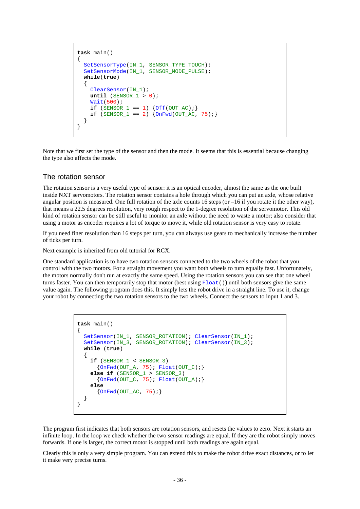```
task main()
{
   SetSensorType(IN_1, SENSOR_TYPE_TOUCH);
  SetSensorMode(IN 1, SENSOR MODE PULSE);
  while(true)
\{ ClearSensor(IN_1);
     until (SENSOR_1 > 0);
     Wait(500);
    if (SENSOR_1 == 1) {Off(OUT_AC)}if (SENSOR_1 == 2) \{OnFwd(OUT_AC, 75); \} }
}
```
Note that we first set the type of the sensor and then the mode. It seems that this is essential because changing the type also affects the mode.

#### The rotation sensor

The rotation sensor is a very useful type of sensor: it is an optical encoder, almost the same as the one built inside NXT servomotors. The rotation sensor contains a hole through which you can put an axle, whose relative angular position is measured. One full rotation of the axle counts 16 steps (or –16 if you rotate it the other way), that means a 22.5 degrees resolution, very rough respect to the 1-degree resolution of the servomotor. This old kind of rotation sensor can be still useful to monitor an axle without the need to waste a motor; also consider that using a motor as encoder requires a lot of torque to move it, while old rotation sensor is very easy to rotate.

If you need finer resolution than 16 steps per turn, you can always use gears to mechanically increase the number of ticks per turn.

Next example is inherited from old tutorial for RCX.

One standard application is to have two rotation sensors connected to the two wheels of the robot that you control with the two motors. For a straight movement you want both wheels to turn equally fast. Unfortunately, the motors normally don't run at exactly the same speed. Using the rotation sensors you can see that one wheel turns faster. You can then temporarily stop that motor (best using  $F$ loat()) until both sensors give the same value again. The following program does this. It simply lets the robot drive in a straight line. To use it, change your robot by connecting the two rotation sensors to the two wheels. Connect the sensors to input 1 and 3.

```
task main()
{
   SetSensor(IN_1, SENSOR_ROTATION); ClearSensor(IN_1);
  SetSensor(IN_3, SENSOR_ROTATION); ClearSensor(IN_3);
  while (true)
   {
     if (SENSOR_1 < SENSOR_3)
      {OnFwd(OUT_A, 75); Fload(OUT_C); } else if (SENSOR_1 > SENSOR_3)
      {OnFwd(OUT_C, 75): Float(OUT_A);} else 
       {OnFwd(OUT_AC, 75);}
   }
}
```
The program first indicates that both sensors are rotation sensors, and resets the values to zero. Next it starts an infinite loop. In the loop we check whether the two sensor readings are equal. If they are the robot simply moves forwards. If one is larger, the correct motor is stopped until both readings are again equal.

Clearly this is only a very simple program. You can extend this to make the robot drive exact distances, or to let it make very precise turns.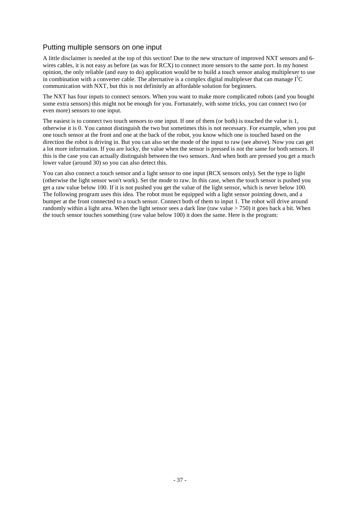## Putting multiple sensors on one input

A little disclaimer is needed at the top of this section! Due to the new structure of improved NXT sensors and 6 wires cables, it is not easy as before (as was for RCX) to connect more sensors to the same port. In my honest opinion, the only reliable (and easy to do) application would be to build a touch sensor analog multiplexer to use in combination with a converter cable. The alternative is a complex digital multiplexer that can manage  $I^2C$ communication with NXT, but this is not definitely an affordable solution for beginners.

The NXT has four inputs to connect sensors. When you want to make more complicated robots (and you bought some extra sensors) this might not be enough for you. Fortunately, with some tricks, you can connect two (or even more) sensors to one input.

The easiest is to connect two touch sensors to one input. If one of them (or both) is touched the value is 1, otherwise it is 0. You cannot distinguish the two but sometimes this is not necessary. For example, when you put one touch sensor at the front and one at the back of the robot, you know which one is touched based on the direction the robot is driving in. But you can also set the mode of the input to raw (see above). Now you can get a lot more information. If you are lucky, the value when the sensor is pressed is not the same for both sensors. If this is the case you can actually distinguish between the two sensors. And when both are pressed you get a much lower value (around 30) so you can also detect this.

You can also connect a touch sensor and a light sensor to one input (RCX sensors only). Set the type to light (otherwise the light sensor won't work). Set the mode to raw. In this case, when the touch sensor is pushed you get a raw value below 100. If it is not pushed you get the value of the light sensor, which is never below 100. The following program uses this idea. The robot must be equipped with a light sensor pointing down, and a bumper at the front connected to a touch sensor. Connect both of them to input 1. The robot will drive around randomly within a light area. When the light sensor sees a dark line (raw value > 750) it goes back a bit. When the touch sensor touches something (raw value below 100) it does the same. Here is the program: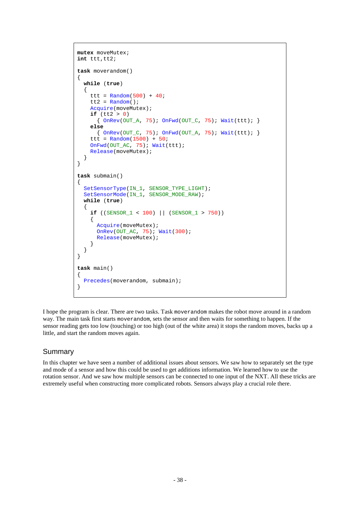```
mutex moveMutex;
int ttt,tt2;
task moverandom()
{
   while (true)
   {
    ttt = Random(500) + 40;tt2 = Random();
     Acquire(moveMutex);
    if (tt2 > 0)\{ OnRev(OUT_A, 75); OnFwd(OUT_C, 75); Wait(ttt); \} else
        { OnRev(OUT_C, 75); OnFwd(OUT_A, 75); Wait(ttt); }
    ttt = Random(1500) + 50;
     OnFwd(OUT_AC, 75); Wait(ttt);
     Release(moveMutex);
   }
}
task submain()
{
  SetSensorType(IN_1, SENSOR_TYPE_LIGHT);
   SetSensorMode(IN_1, SENSOR_MODE_RAW);
   while (true)
   {
    if ((SENSE_1 < 100) || (SENSE_1 > 750))\left\{\begin{array}{ccc} \end{array}\right\} Acquire(moveMutex);
       OnRev(OUT_AC, 75); Wait(300);
       Release(moveMutex);
 }
   }
}
task main()
{
   Precedes(moverandom, submain);
}
```
I hope the program is clear. There are two tasks. Task moverandom makes the robot move around in a random way. The main task first starts moverandom, sets the sensor and then waits for something to happen. If the sensor reading gets too low (touching) or too high (out of the white area) it stops the random moves, backs up a little, and start the random moves again.

#### Summary

In this chapter we have seen a number of additional issues about sensors. We saw how to separately set the type and mode of a sensor and how this could be used to get additions information. We learned how to use the rotation sensor. And we saw how multiple sensors can be connected to one input of the NXT. All these tricks are extremely useful when constructing more complicated robots. Sensors always play a crucial role there.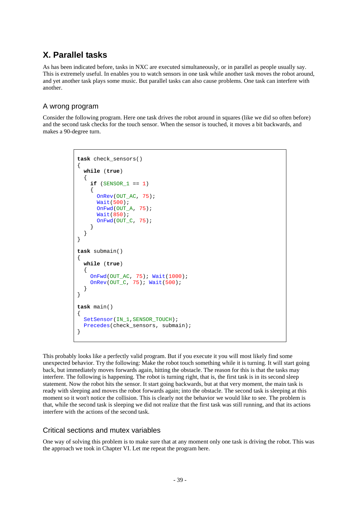# **X. Parallel tasks**

As has been indicated before, tasks in NXC are executed simultaneously, or in parallel as people usually say. This is extremely useful. In enables you to watch sensors in one task while another task moves the robot around, and yet another task plays some music. But parallel tasks can also cause problems. One task can interfere with another.

# A wrong program

Consider the following program. Here one task drives the robot around in squares (like we did so often before) and the second task checks for the touch sensor. When the sensor is touched, it moves a bit backwards, and makes a 90-degree turn.

```
task check_sensors()
{
   while (true)
   {
    if (SENSOR 1 == 1)\left\{\begin{array}{ccc} \end{array}\right\} OnRev(OUT_AC, 75);
        Wait(500);
        OnFwd(OUT_A, 75);
        Wait(850);
        OnFwd(OUT_C, 75);
 }
   }
}
task submain()
{
   while (true)
\{ OnFwd(OUT_AC, 75); Wait(1000);
     OnRev(OUT_C, 75); Wait(500);
 }
}
task main()
{
  SetSensor(IN_1,SENSOR_TOUCH);
   Precedes(check_sensors, submain);
}
```
This probably looks like a perfectly valid program. But if you execute it you will most likely find some unexpected behavior. Try the following: Make the robot touch something while it is turning. It will start going back, but immediately moves forwards again, hitting the obstacle. The reason for this is that the tasks may interfere. The following is happening. The robot is turning right, that is, the first task is in its second sleep statement. Now the robot hits the sensor. It start going backwards, but at that very moment, the main task is ready with sleeping and moves the robot forwards again; into the obstacle. The second task is sleeping at this moment so it won't notice the collision. This is clearly not the behavior we would like to see. The problem is that, while the second task is sleeping we did not realize that the first task was still running, and that its actions interfere with the actions of the second task.

## Critical sections and mutex variables

One way of solving this problem is to make sure that at any moment only one task is driving the robot. This was the approach we took in Chapter VI. Let me repeat the program here.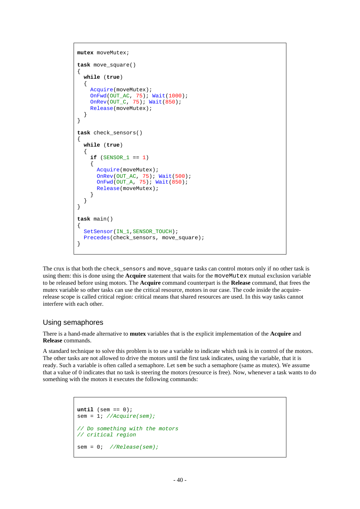```
mutex moveMutex;
task move_square()
{
   while (true)
   {
     Acquire(moveMutex);
     OnFwd(OUT_AC, 75); Wait(1000);
    OnRev(OUT_C, 75); Wait(850);
     Release(moveMutex);
   }
}
task check_sensors()
{
   while (true)
   {
    if (SENSOR 1 == 1)\left\{\begin{array}{ccc} \end{array}\right\} Acquire(moveMutex);
 OnRev(OUT_AC, 75); Wait(500);
 OnFwd(OUT_A, 75); Wait(850);
       Release(moveMutex);
      }
   }
}
task main()
{
   SetSensor(IN_1,SENSOR_TOUCH);
  Precedes(check sensors, move square);
}
```
The crux is that both the check\_sensors and move\_square tasks can control motors only if no other task is using them: this is done using the **Acquire** statement that waits for the moveMutex mutual exclusion variable to be released before using motors. The **Acquire** command counterpart is the **Release** command, that frees the mutex variable so other tasks can use the critical resource, motors in our case. The code inside the acquirerelease scope is called critical region: critical means that shared resources are used. In this way tasks cannot interfere with each other.

#### Using semaphores

There is a hand-made alternative to **mutex** variables that is the explicit implementation of the **Acquire** and **Release** commands.

A standard technique to solve this problem is to use a variable to indicate which task is in control of the motors. The other tasks are not allowed to drive the motors until the first task indicates, using the variable, that it is ready. Such a variable is often called a semaphore. Let sem be such a semaphore (same as mutex). We assume that a value of 0 indicates that no task is steering the motors (resource is free). Now, whenever a task wants to do something with the motors it executes the following commands:

```
until (sem == 0);sem = 1; //Acquire(sem);
// Do something with the motors
// critical region
sem = 0; //Release(sem);
```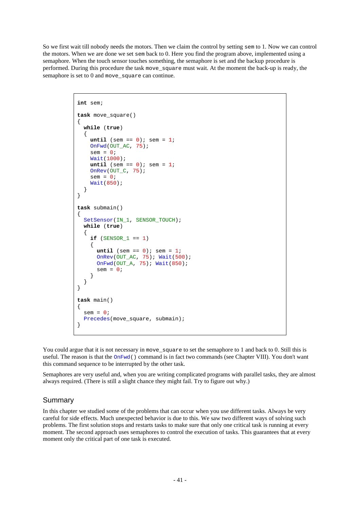So we first wait till nobody needs the motors. Then we claim the control by setting sem to 1. Now we can control the motors. When we are done we set sem back to 0. Here you find the program above, implemented using a semaphore. When the touch sensor touches something, the semaphore is set and the backup procedure is performed. During this procedure the task move\_square must wait. At the moment the back-up is ready, the semaphore is set to 0 and move\_square can continue.

```
int sem;
task move_square()
{
   while (true)
   {
    until (sem == 0); sem = 1;
    OnFwd(OUT AC, 75);
    sem = 0; Wait(1000);
    until (sem == 0); sem = 1;
     OnRev(OUT_C, 75);
    sem = 0; Wait(850);
   }
}
task submain()
{
  SetSensor(IN_1, SENSOR_TOUCH);
   while (true)
   {
    if (SENSOR 1 == 1)\{until (sem == 0); sem = 1;
       OnRev(OUT_AC, 75); Wait(500);
       OnFwd(OUT_A, 75); Wait(850);
      sem = 0; }
   }
}
task main()
{
  sem = 0;
   Precedes(move_square, submain);
}
```
You could argue that it is not necessary in move\_square to set the semaphore to 1 and back to 0. Still this is useful. The reason is that the  $\Omega_{\text{NFW}}(t)$  command is in fact two commands (see Chapter VIII). You don't want this command sequence to be interrupted by the other task.

Semaphores are very useful and, when you are writing complicated programs with parallel tasks, they are almost always required. (There is still a slight chance they might fail. Try to figure out why.)

## Summary

In this chapter we studied some of the problems that can occur when you use different tasks. Always be very careful for side effects. Much unexpected behavior is due to this. We saw two different ways of solving such problems. The first solution stops and restarts tasks to make sure that only one critical task is running at every moment. The second approach uses semaphores to control the execution of tasks. This guarantees that at every moment only the critical part of one task is executed.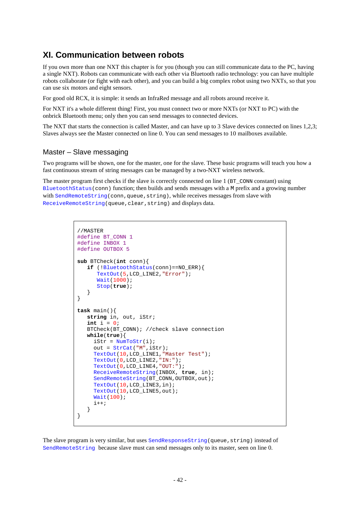# **XI. Communication between robots**

If you own more than one NXT this chapter is for you (though you can still communicate data to the PC, having a single NXT). Robots can communicate with each other via Bluetooth radio technology: you can have multiple robots collaborate (or fight with each other), and you can build a big complex robot using two NXTs, so that you can use six motors and eight sensors.

For good old RCX, it is simple: it sends an InfraRed message and all robots around receive it.

For NXT it's a whole different thing! First, you must connect two or more NXTs (or NXT to PC) with the onbrick Bluetooth menu; only then you can send messages to connected devices.

The NXT that starts the connection is called Master, and can have up to 3 Slave devices connected on lines 1,2,3; Slaves always see the Master connected on line 0. You can send messages to 10 mailboxes available.

#### Master – Slave messaging

Two programs will be shown, one for the master, one for the slave. These basic programs will teach you how a fast continuous stream of string messages can be managed by a two-NXT wireless network.

The master program first checks if the slave is correctly connected on line  $1 \times T_{\text{COMN}}$  constant) using BluetoothStatus(conn) function; then builds and sends messages with a M prefix and a growing number with SendRemoteString(conn, queue, string), while receives messages from slave with ReceiveRemoteString(queue,clear,string) and displays data.

```
//MASTER
#define BT_CONN 1
#define INBOX 1
#define OUTBOX 5
sub BTCheck(int conn){
    if (!BluetoothStatus(conn)==NO_ERR){
       TextOut(5,LCD_LINE2,"Error");
       Wait(1000);
       Stop(true);
    }
}
task main(){
    string in, out, iStr;
    int i = 0;
    BTCheck(BT_CONN); //check slave connection
    while(true){
     istr = NumToStr(i); out = StrCat("M",iStr);
      TextOut(10,LCD_LINE1,"Master Test");
      TextOut(0,LCD_LINE2,"IN:");
      TextOut(0,LCD_LINE4,"OUT:");
      ReceiveRemoteString(INBOX, true, in);
     SendRemoteString(BT_CONN,OUTBOX,out);
      TextOut(10,LCD_LINE3,in);
      TextOut(10,LCD_LINE5,out);
      Wait(100);
     i++; }
}
```
The slave program is very similar, but uses SendResponseString(queue, string) instead of SendRemoteString because slave must can send messages only to its master, seen on line 0.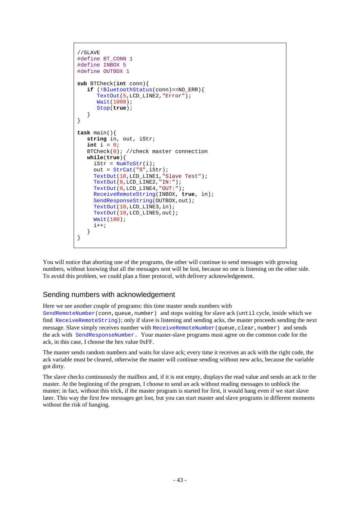```
//SLAVE
#define BT_CONN 1
#define INBOX 5
#define OUTBOX 1
sub BTCheck(int conn){
    if (!BluetoothStatus(conn)==NO_ERR){
       TextOut(5,LCD_LINE2,"Error");
       Wait(1000);
       Stop(true);
    }
}
task main(){
    string in, out, iStr;
   int i = 0;BTCheck(0); //check master connection
    while(true){
     istr = NumToStr(i); out = StrCat("S",iStr);
      TextOut(10,LCD_LINE1,"Slave Test");
      TextOut(0,LCD_LINE2,"IN:");
      TextOut(0,LCD_LINE4,"OUT:");
      ReceiveRemoteString(INBOX, true, in);
     SendResponseString(OUTBOX, out);
      TextOut(10,LCD_LINE3,in);
      TextOut(10,LCD_LINE5,out);
      Wait(100);
     i++; }
}
```
You will notice that aborting one of the programs, the other will continue to send messages with growing numbers, without knowing that all the messages sent will be lost, because no one is listening on the other side. To avoid this problem, we could plan a finer protocol, with delivery acknowledgement.

#### Sending numbers with acknowledgement

Here we see another couple of programs: this time master sends numbers with

SendRemoteNumber(conn,queue,number) and stops waiting for slave ack (until cycle, inside which we find ReceiveRemoteString); only if slave is listening and sending acks, the master proceeds sending the next message. Slave simply receives number with ReceiveRemoteNumber (queue, clear, number) and sends the ack with SendResponseNumber. Your master-slave programs must agree on the common code for the ack, in this case, I choose the hex value 0xFF.

The master sends random numbers and waits for slave ack; every time it receives an ack with the right code, the ack variable must be cleared, otherwise the master will continue sending without new acks, because the variable got dirty.

The slave checks continuously the mailbox and, if it is not empty, displays the read value and sends an ack to the master. At the beginning of the program, I choose to send an ack without reading messages to unblock the master; in fact, without this trick, if the master program is started for first, it would hang even if we start slave later. This way the first few messages get lost, but you can start master and slave programs in different moments without the risk of hanging.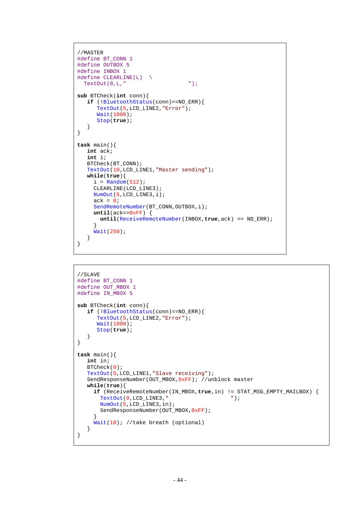```
//MASTER
#define BT_CONN 1
#define OUTBOX 5
#define INBOX 1
#define CLEARLINE(L) \
 TextOut(0,L," "sub BTCheck(int conn){
   if (!BluetoothStatus(conn)==NO_ERR){
       TextOut(5,LCD_LINE2,"Error");
       Wait(1000);
      Stop(true);
    }
}
task main(){
   int ack;
   int i;
   BTCheck(BT_CONN);
   TextOut(10,LCD_LINE1,"Master sending");
   while(true){
    i = Random(512);
     CLEARLINE(LCD_LINE3);
     NumOut(5,LCD_LINE3,i);
    ack = 0;SendRemoteNumber(BT_CONN,OUTBOX,i);
    until(ack==0xFF) {
       until(ReceiveRemoteNumber(INBOX,true,ack) == NO_ERR);
      }
     Wait(250);
   }
}
```

```
//SLAVE
#define BT_CONN 1
#define OUT_MBOX 1
#define IN_MBOX 5
sub BTCheck(int conn){
    if (!BluetoothStatus(conn)==NO_ERR){
       TextOut(5,LCD_LINE2,"Error");
       Wait(1000);
       Stop(true);
    }
}
task main(){
    int in;
    BTCheck(0);
    TextOut(5,LCD_LINE1,"Slave receiving");
    SendResponseNumber(OUT_MBOX,0xFF); //unblock master
    while(true){
     if (ReceiveRemoteNumber(IN_MBOX,true,in) != STAT_MSG_EMPTY_MAILBOX) {<br>TextOut(0,LCD_LINE3," ");
       TextOut(0, LCD_LINE3,"
        NumOut(5,LCD_LINE3,in);
       SendResponseNumber(OUT_MBOX, OxFF);
 }
      Wait(10); //take breath (optional)
    }
}
```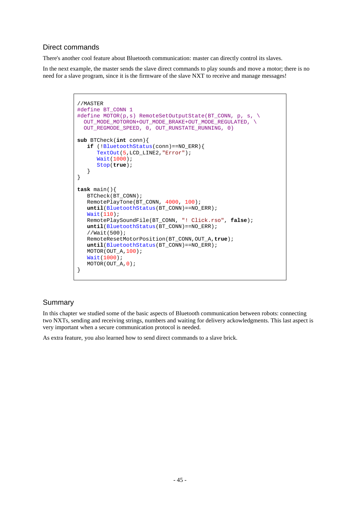# Direct commands

There's another cool feature about Bluetooth communication: master can directly control its slaves.

In the next example, the master sends the slave direct commands to play sounds and move a motor; there is no need for a slave program, since it is the firmware of the slave NXT to receive and manage messages!

```
//MASTER
#define BT_CONN 1
#define MOTOR(p,s) RemoteSetOutputState(BT_CONN, p, s, \
   OUT_MODE_MOTORON+OUT_MODE_BRAKE+OUT_MODE_REGULATED, \
   OUT_REGMODE_SPEED, 0, OUT_RUNSTATE_RUNNING, 0)
sub BTCheck(int conn){
    if (!BluetoothStatus(conn)==NO_ERR){
       TextOut(5,LCD_LINE2,"Error");
       Wait(1000);
       Stop(true);
    }
}
task main(){
  BTCheck(BT_CONN);
    RemotePlayTone(BT_CONN, 4000, 100);
    until(BluetoothStatus(BT_CONN)==NO_ERR);
    Wait(110);
    RemotePlaySoundFile(BT_CONN, "! Click.rso", false);
    until(BluetoothStatus(BT_CONN)==NO_ERR);
    //Wait(500);
    RemoteResetMotorPosition(BT_CONN,OUT_A,true);
    until(BluetoothStatus(BT_CONN)==NO_ERR);
    MOTOR(OUT_A,100);
    Wait(1000);
    MOTOR(OUT_A,0);
}
```
# **Summary**

In this chapter we studied some of the basic aspects of Bluetooth communication between robots: connecting two NXTs, sending and receiving strings, numbers and waiting for delivery ackowledgments. This last aspect is very important when a secure communication protocol is needed.

As extra feature, you also learned how to send direct commands to a slave brick.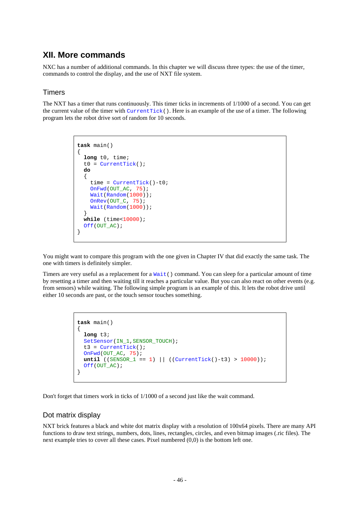# **XII. More commands**

NXC has a number of additional commands. In this chapter we will discuss three types: the use of the timer, commands to control the display, and the use of NXT file system.

## **Timers**

The NXT has a timer that runs continuously. This timer ticks in increments of 1/1000 of a second. You can get the current value of the timer with CurrentTick(). Here is an example of the use of a timer. The following program lets the robot drive sort of random for 10 seconds.

```
task main()
{
  long t0, time;
  t0 = CurrentTick();
  do
 {
     time = CurrentTick()-t0;
    OnFwd(OUT AC, 75);
    Wait(Random(1000));
    OnRev(OUT_C, 75);
    Wait(Random(1000));
 }
  while (time<10000);
  Off(OUT_AC);
}
```
You might want to compare this program with the one given in Chapter IV that did exactly the same task. The one with timers is definitely simpler.

Timers are very useful as a replacement for a Wait() command. You can sleep for a particular amount of time by resetting a timer and then waiting till it reaches a particular value. But you can also react on other events (e.g. from sensors) while waiting. The following simple program is an example of this. It lets the robot drive until either 10 seconds are past, or the touch sensor touches something.

```
task main()
{
  long t3;
 SetSensor(IN_1,SENSOR_TOUCH);
   t3 = CurrentTick();
   OnFwd(OUT_AC, 75);
  until ((SENSEOR_1 == 1) || ((CurrentTick() - t3) > 10000)); Off(OUT_AC);
}
```
Don't forget that timers work in ticks of 1/1000 of a second just like the wait command.

#### Dot matrix display

NXT brick features a black and white dot matrix display with a resolution of 100x64 pixels. There are many API functions to draw text strings, numbers, dots, lines, rectangles, circles, and even bitmap images (.ric files). The next example tries to cover all these cases. Pixel numbered (0,0) is the bottom left one.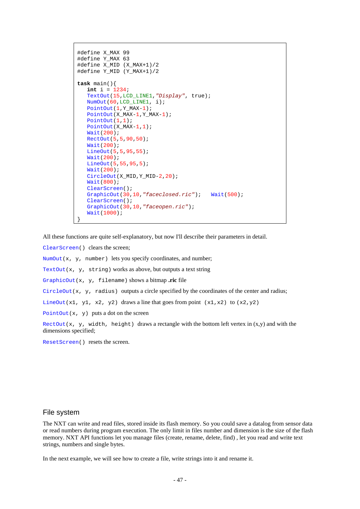```
#define X_MAX 99
#define Y_MAX 63
#define X_MID (X_MAX+1)/2
#define Y_MID (Y_MAX+1)/2
task main(){
    int i = 1234;
    TextOut(15,LCD_LINE1,"Display", true);
    NumOut(60,LCD_LINE1, i);
    PointOut(1,Y_MAX-1);
   PointOut(X_MAX-1, Y_MAX-1);
    PointOut(1,1);
    PointOut(X_MAX-1,1);
    Wait(200);
    RectOut(5,5,90,50);
    Wait(200);
    LineOut(5,5,95,55);
    Wait(200);
    LineOut(5,55,95,5);
    Wait(200);
   CircleOut(X_MID, Y_MID-2,20);
    Wait(800);
    ClearScreen();
    GraphicOut(30,10,"faceclosed.ric"); Wait(500);
    ClearScreen();
    GraphicOut(30,10,"faceopen.ric");
    Wait(1000);
}
```
All these functions are quite self-explanatory, but now I'll describe their parameters in detail.

ClearScreen() clears the screen;

NumOut( $x$ ,  $y$ , number) lets you specify coordinates, and number;

TextOut(x, y, string) works as above, but outputs a text string

GraphicOut(x, y, filename) shows a bitmap **.ric** file

CircleOut(x,  $\gamma$ , radius) outputs a circle specified by the coordinates of the center and radius;

LineOut(x1, y1, x2, y2) draws a line that goes from point (x1,x2) to (x2,y2)

PointOut(x,  $y$ ) puts a dot on the screen

RectOut(x, y, width, height) draws a rectangle with the bottom left vertex in  $(x,y)$  and with the dimensions specified;

ResetScreen() resets the screen.

#### File system

The NXT can write and read files, stored inside its flash memory. So you could save a datalog from sensor data or read numbers during program execution. The only limit in files number and dimension is the size of the flash memory. NXT API functions let you manage files (create, rename, delete, find) , let you read and write text strings, numbers and single bytes.

In the next example, we will see how to create a file, write strings into it and rename it.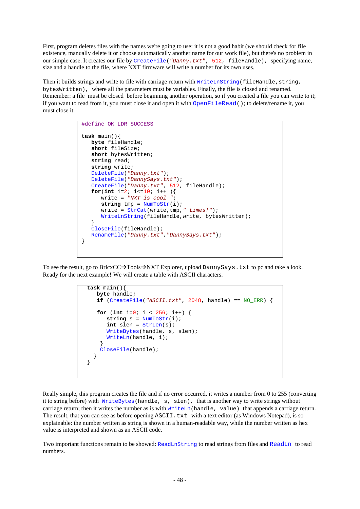First, program deletes files with the names we're going to use: it is not a good habit (we should check for file existence, manually delete it or choose automatically another name for our work file), but there's no problem in our simple case. It creates our file by CreateFile(*"Danny.txt"*, 512, fileHandle), specifying name, size and a handle to the file, where NXT firmware will write a number for its own uses.

Then it builds strings and write to file with carriage return with WriteLnString(fileHandle, string, bytesWritten), where all the parameters must be variables. Finally, the file is closed and renamed. Remember: a file must be closed before beginning another operation, so if you created a file you can write to it; if you want to read from it, you must close it and open it with OpenFileRead(); to delete/rename it, you must close it.

```
#define OK LDR_SUCCESS
task main(){
   byte fileHandle;
    short fileSize;
    short bytesWritten;
    string read;
    string write;
    DeleteFile("Danny.txt");
    DeleteFile("DannySays.txt");
    CreateFile("Danny.txt", 512, fileHandle);
   for(int i=2; i<=10; i++) write = "NXT is cool ";
       string tmp = NumToStr(i);
       write = StrCat(write,tmp," times!");
       WriteLnString(fileHandle,write, bytesWritten);
    }
    CloseFile(fileHandle);
    RenameFile("Danny.txt","DannySays.txt");
}
```
To see the result, go to BricxCC $\rightarrow$ Tools $\rightarrow$ NXT Explorer, upload DannySays.txt to pc and take a look. Ready for the next example! We will create a table with ASCII characters.

```
task main(){
    byte handle;
    if (CreateFile("ASCII.txt", 2048, handle) == NO_ERR) {
    for (int i=0; i < 256; i++) {
       string s = NumToStr(i);
       int slen = StrLen(s);
       WriteBytes(handle, s, slen);
       WriteLn(handle, i);
     }
     CloseFile(handle);
 }
}
```
Really simple, this program creates the file and if no error occurred, it writes a number from 0 to 255 (converting it to string before) with WriteBytes(handle, s, slen), that is another way to write strings without carriage return; then it writes the number as is with  $WriteIn(handle, value)$  that appends a carriage return. The result, that you can see as before opening ASCII.txt with a text editor (as Windows Notepad), is so explainable: the number written as string is shown in a human-readable way, while the number written as hex value is interpreted and shown as an ASCII code.

Two important functions remain to be showed: ReadLnString to read strings from files and ReadLn to read numbers.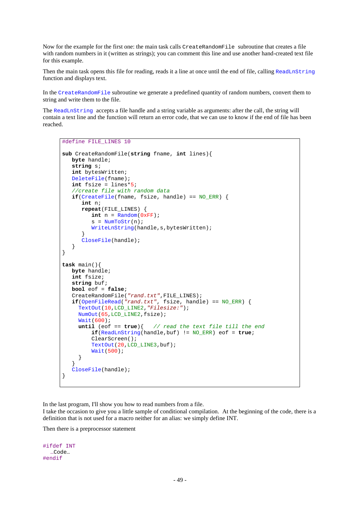Now for the example for the first one: the main task calls CreateRandomFile subroutine that creates a file with random numbers in it (written as strings); you can comment this line and use another hand-created text file for this example.

Then the main task opens this file for reading, reads it a line at once until the end of file, calling ReadLnString function and displays text.

In the CreateRandomFile subroutine we generate a predefined quantity of random numbers, convert them to string and write them to the file.

The ReadLnString accepts a file handle and a string variable as arguments: after the call, the string will contain a text line and the function will return an error code, that we can use to know if the end of file has been reached.

```
#define FILE_LINES 10
sub CreateRandomFile(string fname, int lines){
   byte handle;
    string s;
    int bytesWritten;
    DeleteFile(fname);
    int fsize = lines*5;
    //create file with random data
   \textbf{if}(\text{CreateFile}(\text{frame}, \text{fix}) handle) == NO ERR) {
       int n;
       repeat(FILE_LINES) {
         int n = Random(OxFF);s = NumToStr(n);
          WriteLnString(handle,s,bytesWritten);
 }
       CloseFile(handle);
    }
}
task main(){
   byte handle;
    int fsize;
    string buf;
   bool eof = false;
    CreateRandomFile("rand.txt",FILE_LINES);
 if(OpenFileRead("rand.txt", fsize, handle) == NO_ERR) {
 TextOut(10,LCD_LINE2,"Filesize:");
      NumOut(65,LCD_LINE2,fsize);
      Wait(600);
      until (eof == true){ // read the text file till the end
          if(ReadLnString(handle,buf) != NO_ERR) eof = true;
          ClearScreen();
          TextOut(20,LCD_LINE3,buf);
          Wait(500);
      }
 }
    CloseFile(handle);
}
```
In the last program, I'll show you how to read numbers from a file.

I take the occasion to give you a little sample of conditional compilation. At the beginning of the code, there is a definition that is not used for a macro neither for an alias: we simply define INT.

Then there is a preprocessor statement

```
#ifdef INT
   …Code…
#endif
```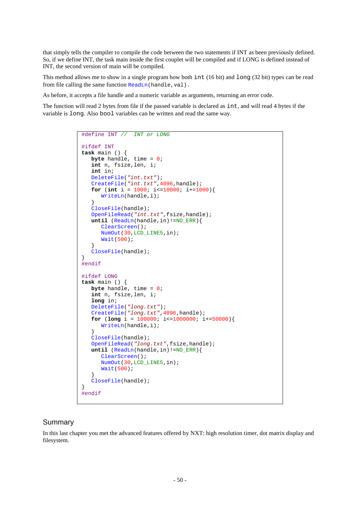that simply tells the compiler to compile the code between the two statements if INT as been previously defined. So, if we define INT, the task main inside the first couplet will be compiled and if LONG is defined instead of INT, the second version of main will be compiled.

This method allows me to show in a single program how both int (16 bit) and long (32 bit) types can be read from file calling the same function  $\text{ReadLn}(\text{handle},\text{val})$ .

As before, it accepts a file handle and a numeric variable as arguments, returning an error code.

The function will read 2 bytes from file if the passed variable is declared as int, and will read 4 bytes if the variable is long. Also bool variables can be written and read the same way.

```
#define INT // INT or LONG
#ifdef INT
task main () {
    byte handle, time = 0;
    int n, fsize,len, i;
    int in;
    DeleteFile("int.txt");
    CreateFile("int.txt",4096,handle);
   for (int i = 1000; i \le 10000; i +1000) WriteLn(handle,i);
    }
    CloseFile(handle);
    OpenFileRead("int.txt",fsize,handle);
    until (ReadLn(handle,in)!=NO_ERR){
       ClearScreen();
       NumOut(30,LCD_LINE5,in);
       Wait(500);
 }
    CloseFile(handle);
}
#endif
#ifdef LONG
task main () {
    byte handle, time = 0;
    int n, fsize,len, i;
    long in;
    DeleteFile("long.txt");
    CreateFile("long.txt",4096,handle);
    for (long i = 100000; i<=1000000; i+=50000){
       WriteLn(handle,i);
 }
    CloseFile(handle);
    OpenFileRead("long.txt",fsize,handle);
    until (ReadLn(handle,in)!=NO_ERR){
       ClearScreen();
       NumOut(30,LCD_LINE5,in);
       Wait(500);
 }
    CloseFile(handle);
}
#endif
```
#### Summary

In this last chapter you met the advanced features offered by NXT: high resolution timer, dot matrix display and filesystem.